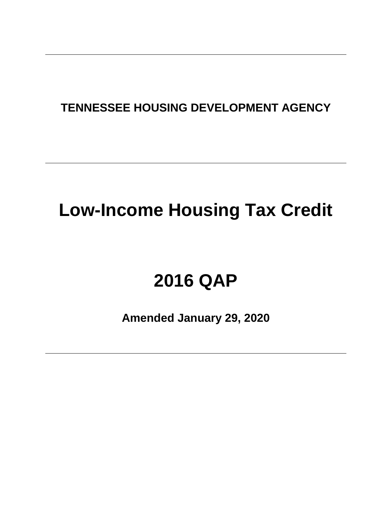# **TENNESSEE HOUSING DEVELOPMENT AGENCY**

# **Low-Income Housing Tax Credit**

# **2016 QAP**

**Amended January 29, 2020**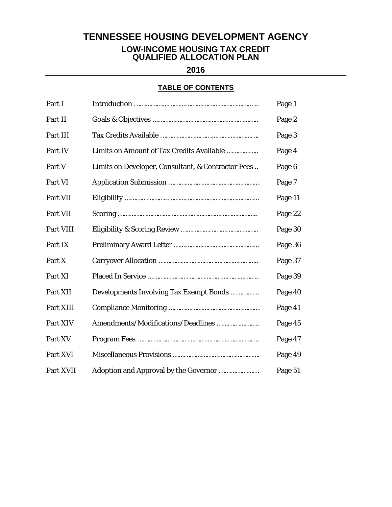# **TENNESSEE HOUSING DEVELOPMENT AGENCY**

#### **LOW-INCOME HOUSING TAX CREDIT QUALIFIED ALLOCATION PLAN**

**2016**

# **TABLE OF CONTENTS**

| Part I    |                                                    | Page 1  |
|-----------|----------------------------------------------------|---------|
| Part II   |                                                    | Page 2  |
| Part III  |                                                    | Page 3  |
| Part IV   | Limits on Amount of Tax Credits Available          | Page 4  |
| Part V    | Limits on Developer, Consultant, & Contractor Fees | Page 6  |
| Part VI   |                                                    | Page 7  |
| Part VII  |                                                    | Page 11 |
| Part VII  |                                                    | Page 22 |
| Part VIII |                                                    | Page 30 |
| Part IX   |                                                    | Page 36 |
| Part X    |                                                    | Page 37 |
| Part XI   |                                                    | Page 39 |
| Part XII  | Developments Involving Tax Exempt Bonds            | Page 40 |
| Part XIII |                                                    | Page 41 |
| Part XIV  | Amendments/Modifications/Deadlines                 | Page 45 |
| Part XV   |                                                    | Page 47 |
| Part XVI  |                                                    | Page 49 |
| Part XVII | Adoption and Approval by the Governor              | Page 51 |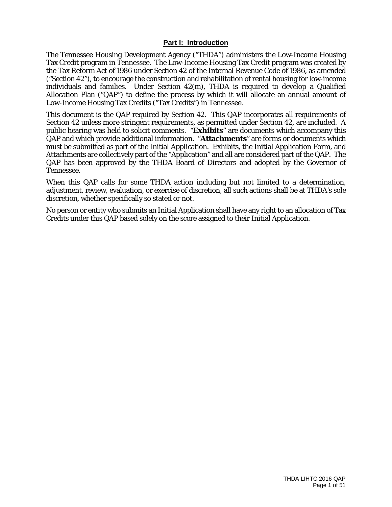#### **Part I: Introduction**

The Tennessee Housing Development Agency ("THDA") administers the Low-Income Housing Tax Credit program in Tennessee. The Low-Income Housing Tax Credit program was created by the Tax Reform Act of 1986 under Section 42 of the Internal Revenue Code of 1986, as amended ("Section 42"), to encourage the construction and rehabilitation of rental housing for low-income individuals and families. Under Section 42(m), THDA is required to develop a Qualified Allocation Plan ("QAP") to define the process by which it will allocate an annual amount of Low-Income Housing Tax Credits ("Tax Credits") in Tennessee.

This document is the QAP required by Section 42. This QAP incorporates all requirements of Section 42 unless more stringent requirements, as permitted under Section 42, are included. A public hearing was held to solicit comments. "**Exhibits**" are documents which accompany this QAP and which provide additional information. "**Attachments**" are forms or documents which must be submitted as part of the Initial Application. Exhibits, the Initial Application Form, and Attachments are collectively part of the "Application" and all are considered part of the QAP. The QAP has been approved by the THDA Board of Directors and adopted by the Governor of Tennessee.

When this QAP calls for some THDA action including but not limited to a determination, adjustment, review, evaluation, or exercise of discretion, all such actions shall be at THDA's sole discretion, whether specifically so stated or not.

No person or entity who submits an Initial Application shall have any right to an allocation of Tax Credits under this QAP based solely on the score assigned to their Initial Application.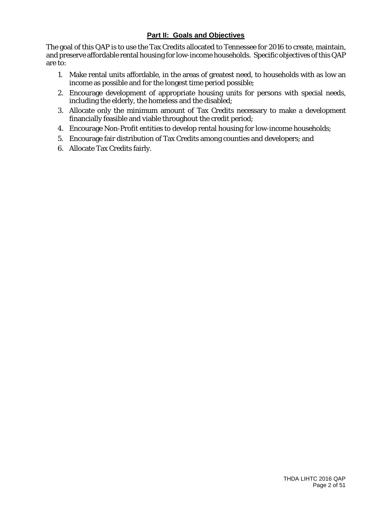# **Part II: Goals and Objectives**

The goal of this QAP is to use the Tax Credits allocated to Tennessee for 2016 to create, maintain, and preserve affordable rental housing for low-income households. Specific objectives of this QAP are to:

- 1. Make rental units affordable, in the areas of greatest need, to households with as low an income as possible and for the longest time period possible;
- 2. Encourage development of appropriate housing units for persons with special needs, including the elderly, the homeless and the disabled;
- 3. Allocate only the minimum amount of Tax Credits necessary to make a development financially feasible and viable throughout the credit period;
- 4. Encourage Non-Profit entities to develop rental housing for low-income households;
- 5. Encourage fair distribution of Tax Credits among counties and developers; and
- 6. Allocate Tax Credits fairly.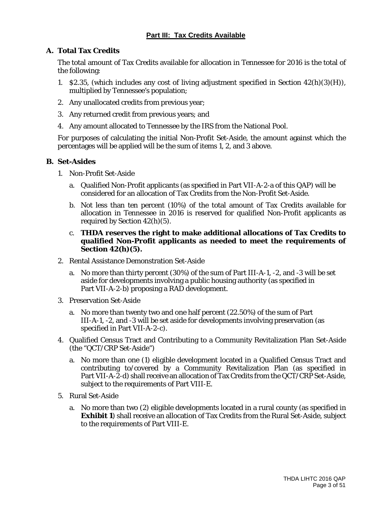# **Part III: Tax Credits Available**

# **A. Total Tax Credits**

The total amount of Tax Credits available for allocation in Tennessee for 2016 is the total of the following:

- 1. \$2.35, (which includes any cost of living adjustment specified in Section  $42(h)(3)(H)$ ), multiplied by Tennessee's population;
- 2. Any unallocated credits from previous year;
- 3. Any returned credit from previous years; and
- 4. Any amount allocated to Tennessee by the IRS from the National Pool.

For purposes of calculating the initial Non-Profit Set-Aside, the amount against which the percentages will be applied will be the sum of items 1, 2, and 3 above.

#### **B. Set-Asides**

- 1. Non-Profit Set-Aside
	- a. Qualified Non-Profit applicants (as specified in Part VII-A-2-a of this QAP) will be considered for an allocation of Tax Credits from the Non-Profit Set-Aside.
	- b. Not less than ten percent (10%) of the total amount of Tax Credits available for allocation in Tennessee in 2016 is reserved for qualified Non-Profit applicants as required by Section 42(h)(5).
	- c. **THDA reserves the right to make additional allocations of Tax Credits to qualified Non-Profit applicants as needed to meet the requirements of Section 42(h)(5).**
- 2. Rental Assistance Demonstration Set-Aside
	- a. No more than thirty percent (30%) of the sum of Part III-A-1, -2, and -3 will be set aside for developments involving a public housing authority (as specified in Part VII-A-2-b) proposing a RAD development.
- 3. Preservation Set-Aside
	- a. No more than twenty two and one half percent (22.50%) of the sum of Part III-A-1, -2, and -3 will be set aside for developments involving preservation (as specified in Part VII-A-2-c).
- 4. Qualified Census Tract and Contributing to a Community Revitalization Plan Set-Aside (the "QCT/CRP Set-Aside")
	- a. No more than one (1) eligible development located in a Qualified Census Tract and contributing to/covered by a Community Revitalization Plan (as specified in Part VII-A-2-d) shall receive an allocation of Tax Credits from the QCT/CRP Set-Aside, subject to the requirements of Part VIII-E.
- 5. Rural Set-Aside
	- a. No more than two (2) eligible developments located in a rural county (as specified in **Exhibit 1**) shall receive an allocation of Tax Credits from the Rural Set-Aside, subject to the requirements of Part VIII-E.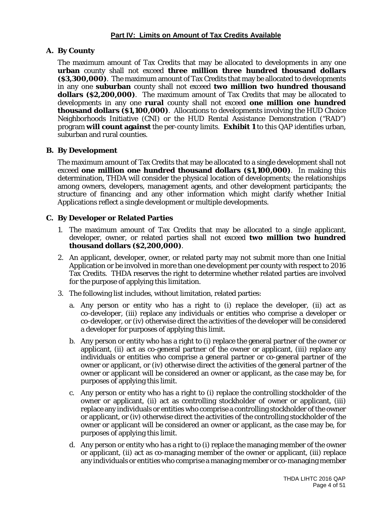# **A. By County**

The maximum amount of Tax Credits that may be allocated to developments in any one **urban** county shall not exceed **three million three hundred thousand dollars (\$3,300,000)**. The maximum amount of Tax Credits that may be allocated to developments in any one **suburban** county shall not exceed **two million two hundred thousand dollars (\$2,200,000)**. The maximum amount of Tax Credits that may be allocated to developments in any one **rural** county shall not exceed **one million one hundred thousand dollars (\$1,100,000)**. Allocations to developments involving the HUD Choice Neighborhoods Initiative (CNI) or the HUD Rental Assistance Demonstration ("RAD") program **will count against** the per-county limits. **Exhibit 1** to this QAP identifies urban, suburban and rural counties.

#### **B. By Development**

The maximum amount of Tax Credits that may be allocated to a single development shall not exceed **one million one hundred thousand dollars (\$1,100,000)**. In making this determination, THDA will consider the physical location of developments; the relationships among owners, developers, management agents, and other development participants; the structure of financing; and any other information which might clarify whether Initial Applications reflect a single development or multiple developments.

#### **C. By Developer or Related Parties**

- 1. The maximum amount of Tax Credits that may be allocated to a single applicant, developer, owner, or related parties shall not exceed **two million two hundred thousand dollars (\$2,200,000)**.
- 2. An applicant, developer, owner, or related party may not submit more than one Initial Application or be involved in more than one development per county with respect to 2016 Tax Credits. THDA reserves the right to determine whether related parties are involved for the purpose of applying this limitation.
- 3. The following list includes, without limitation, related parties:
	- a. Any person or entity who has a right to (i) replace the developer, (ii) act as co-developer, (iii) replace any individuals or entities who comprise a developer or co-developer, or (iv) otherwise direct the activities of the developer will be considered a developer for purposes of applying this limit.
	- b. Any person or entity who has a right to (i) replace the general partner of the owner or applicant, (ii) act as co-general partner of the owner or applicant, (iii) replace any individuals or entities who comprise a general partner or co-general partner of the owner or applicant, or (iv) otherwise direct the activities of the general partner of the owner or applicant will be considered an owner or applicant, as the case may be, for purposes of applying this limit.
	- c. Any person or entity who has a right to (i) replace the controlling stockholder of the owner or applicant, (ii) act as controlling stockholder of owner or applicant, (iii) replace any individuals or entities who comprise a controlling stockholder of the owner or applicant, or (iv) otherwise direct the activities of the controlling stockholder of the owner or applicant will be considered an owner or applicant, as the case may be, for purposes of applying this limit.
	- d. Any person or entity who has a right to (i) replace the managing member of the owner or applicant, (ii) act as co-managing member of the owner or applicant, (iii) replace any individuals or entities who comprise a managing member or co-managing member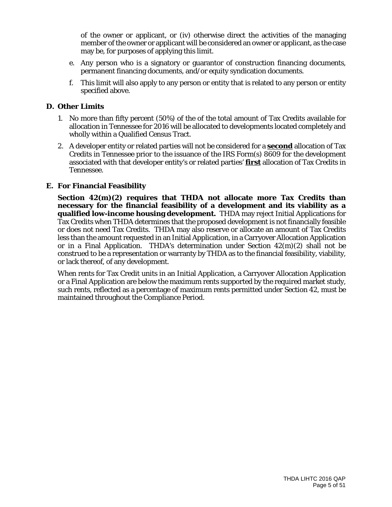of the owner or applicant, or (iv) otherwise direct the activities of the managing member of the owner or applicant will be considered an owner or applicant, as the case may be, for purposes of applying this limit.

- e. Any person who is a signatory or guarantor of construction financing documents, permanent financing documents, and/or equity syndication documents.
- f. This limit will also apply to any person or entity that is related to any person or entity specified above.

#### **D. Other Limits**

- 1. No more than fifty percent (50%) of the of the total amount of Tax Credits available for allocation in Tennessee for 2016 will be allocated to developments located completely and wholly within a Qualified Census Tract.
- 2. A developer entity or related parties will not be considered for a **second** allocation of Tax Credits in Tennessee prior to the issuance of the IRS Form(s) 8609 for the development associated with that developer entity's or related parties' **first** allocation of Tax Credits in Tennessee.

#### **E. For Financial Feasibility**

**Section 42(m)(2) requires that THDA not allocate more Tax Credits than necessary for the financial feasibility of a development and its viability as a qualified low-income housing development.** THDA may reject Initial Applications for Tax Credits when THDA determines that the proposed development is not financially feasible or does not need Tax Credits. THDA may also reserve or allocate an amount of Tax Credits less than the amount requested in an Initial Application, in a Carryover Allocation Application or in a Final Application. THDA's determination under Section 42(m)(2) shall not be construed to be a representation or warranty by THDA as to the financial feasibility, viability, or lack thereof, of any development.

When rents for Tax Credit units in an Initial Application, a Carryover Allocation Application or a Final Application are below the maximum rents supported by the required market study, such rents, reflected as a percentage of maximum rents permitted under Section 42, must be maintained throughout the Compliance Period.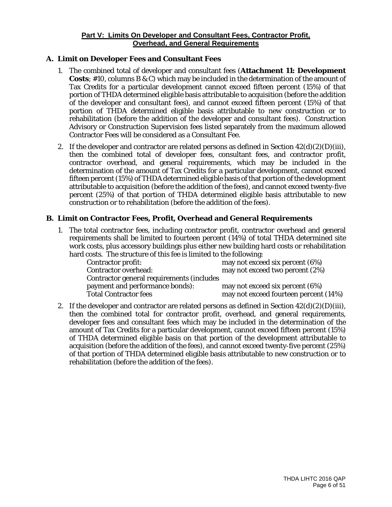#### **Part V: Limits On Developer and Consultant Fees, Contractor Profit, Overhead, and General Requirements**

### **A. Limit on Developer Fees and Consultant Fees**

- 1. The combined total of developer and consultant fees (**Attachment 11: Development Costs**; #10, columns B & C) which may be included in the determination of the amount of Tax Credits for a particular development cannot exceed fifteen percent (15%) of that portion of THDA determined eligible basis attributable to acquisition (before the addition of the developer and consultant fees), and cannot exceed fifteen percent (15%) of that portion of THDA determined eligible basis attributable to new construction or to rehabilitation (before the addition of the developer and consultant fees). Construction Advisory or Construction Supervision fees listed separately from the maximum allowed Contractor Fees will be considered as a Consultant Fee.
- 2. If the developer and contractor are related persons as defined in Section  $42(d)(2)(D)(iii)$ , then the combined total of developer fees, consultant fees, and contractor profit, contractor overhead, and general requirements, which may be included in the determination of the amount of Tax Credits for a particular development, cannot exceed fifteen percent (15%) of THDA determined eligible basis of that portion of the development attributable to acquisition (before the addition of the fees), and cannot exceed twenty-five percent (25%) of that portion of THDA determined eligible basis attributable to new construction or to rehabilitation (before the addition of the fees).

# **B. Limit on Contractor Fees, Profit, Overhead and General Requirements**

1. The total contractor fees, including contractor profit, contractor overhead and general requirements shall be limited to fourteen percent (14%) of total THDA determined site work costs, plus accessory buildings plus either new building hard costs or rehabilitation hard costs. The structure of this fee is limited to the following:

| <b>Contractor profit:</b>                 | may not exceed six percent (6%)       |
|-------------------------------------------|---------------------------------------|
| <b>Contractor overhead:</b>               | may not exceed two percent (2%)       |
| Contractor general requirements (includes |                                       |
| payment and performance bonds):           | may not exceed six percent (6%)       |
| <b>Total Contractor fees</b>              | may not exceed fourteen percent (14%) |

2. If the developer and contractor are related persons as defined in Section  $42(d)(2)(D)(iii)$ , then the combined total for contractor profit, overhead, and general requirements, developer fees and consultant fees which may be included in the determination of the amount of Tax Credits for a particular development, cannot exceed fifteen percent (15%) of THDA determined eligible basis on that portion of the development attributable to acquisition (before the addition of the fees), and cannot exceed twenty-five percent (25%) of that portion of THDA determined eligible basis attributable to new construction or to rehabilitation (before the addition of the fees).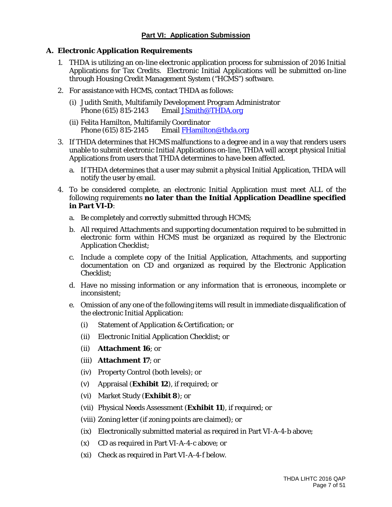# **A. Electronic Application Requirements**

- 1. THDA is utilizing an on-line electronic application process for submission of 2016 Initial Applications for Tax Credits. Electronic Initial Applications will be submitted on-line through Housing Credit Management System ("HCMS") software.
- 2. For assistance with HCMS, contact THDA as follows:
	- (i) Judith Smith, Multifamily Development Program Administrator<br>Phone (615) 815-2143 Email JSmith@THDA.org Email [JSmith@THDA.org](mailto:JSmith@THDA.org)
	- (ii) Felita Hamilton, Multifamily Coordinator<br>Phone (615) 815-2145 Email FHamilto Email [FHamilton@thda.org](mailto:FHamilton@thda.org)
- 3. If THDA determines that HCMS malfunctions to a degree and in a way that renders users unable to submit electronic Initial Applications on-line, THDA will accept physical Initial Applications from users that THDA determines to have been affected.
	- a. If THDA determines that a user may submit a physical Initial Application, THDA will notify the user by email.
- 4. To be considered complete, an electronic Initial Application must meet ALL of the following requirements **no later than the Initial Application Deadline specified in Part VI-D**:
	- a. Be completely and correctly submitted through HCMS;
	- b. All required Attachments and supporting documentation required to be submitted in electronic form within HCMS must be organized as required by the Electronic Application Checklist;
	- c. Include a complete copy of the Initial Application, Attachments, and supporting documentation on CD and organized as required by the Electronic Application Checklist;
	- d. Have no missing information or any information that is erroneous, incomplete or inconsistent;
	- e. Omission of any one of the following items will result in immediate disqualification of the electronic Initial Application:
		- (i) Statement of Application & Certification; or
		- (ii) Electronic Initial Application Checklist; or
		- (ii) **Attachment 16**; or
		- (iii) **Attachment 17**; or
		- (iv) Property Control (both levels); or
		- (v) Appraisal (**Exhibit 12**), if required; or
		- (vi) Market Study (**Exhibit 8**); or
		- (vii) Physical Needs Assessment (**Exhibit 11**), if required; or
		- (viii) Zoning letter (if zoning points are claimed); or
		- (ix) Electronically submitted material as required in Part VI-A-4-b above;
		- (x) CD as required in Part VI-A-4-c above; or
		- (xi) Check as required in Part VI-A-4-f below.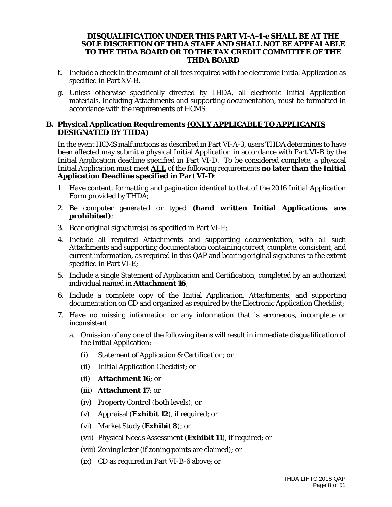#### **DISQUALIFICATION UNDER THIS PART VI-A-4-e SHALL BE AT THE SOLE DISCRETION OF THDA STAFF AND SHALL NOT BE APPEALABLE TO THE THDA BOARD OR TO THE TAX CREDIT COMMITTEE OF THE THDA BOARD**

- f. Include a check in the amount of all fees required with the electronic Initial Application as specified in Part XV-B.
- g. Unless otherwise specifically directed by THDA, all electronic Initial Application materials, including Attachments and supporting documentation, must be formatted in accordance with the requirements of HCMS.

# **B. Physical Application Requirements** *(ONLY APPLICABLE TO APPLICANTS DESIGNATED BY THDA)*

In the event HCMS malfunctions as described in Part VI-A-3, users THDA determines to have been affected may submit a physical Initial Application in accordance with Part VI-B by the Initial Application deadline specified in Part VI-D. To be considered complete, a physical Initial Application must meet **ALL** of the following requirements **no later than the Initial Application Deadline specified in Part VI-D**:

- 1. Have content, formatting and pagination identical to that of the 2016 Initial Application Form provided by THDA;
- 2. Be computer generated or typed **(hand written Initial Applications are prohibited)**;
- 3. Bear original signature(s) as specified in Part VI-E;
- 4. Include all required Attachments and supporting documentation, with all such Attachments and supporting documentation containing correct, complete, consistent, and current information, as required in this QAP and bearing original signatures to the extent specified in Part VI-E;
- 5. Include a single Statement of Application and Certification, completed by an authorized individual named in **Attachment 16**;
- 6. Include a complete copy of the Initial Application, Attachments, and supporting documentation on CD and organized as required by the Electronic Application Checklist;
- 7. Have no missing information or any information that is erroneous, incomplete or inconsistent
	- a. Omission of any one of the following items will result in immediate disqualification of the Initial Application:
		- (i) Statement of Application & Certification; or
		- (ii) Initial Application Checklist; or
		- (ii) **Attachment 16**; or
		- (iii) **Attachment 17**; or
		- (iv) Property Control (both levels); or
		- (v) Appraisal (**Exhibit 12**), if required; or
		- (vi) Market Study (**Exhibit 8**); or
		- (vii) Physical Needs Assessment (**Exhibit 11**), if required; or
		- (viii) Zoning letter (if zoning points are claimed); or
		- (ix) CD as required in Part VI-B-6 above; or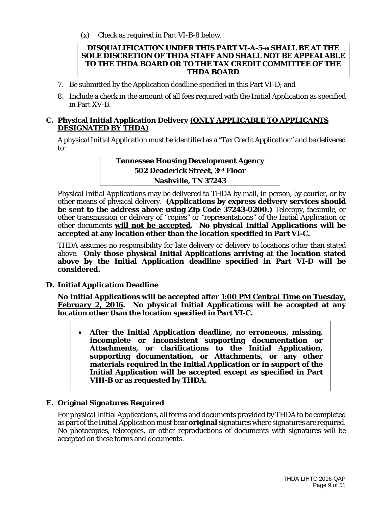(x) Check as required in Part VI-B-8 below.

#### **DISQUALIFICATION UNDER THIS PART VI-A-5-a SHALL BE AT THE SOLE DISCRETION OF THDA STAFF AND SHALL NOT BE APPEALABLE TO THE THDA BOARD OR TO THE TAX CREDIT COMMITTEE OF THE THDA BOARD**

- 7. Be submitted by the Application deadline specified in this Part VI-D; and
- 8. Include a check in the amount of all fees required with the Initial Application as specified in Part XV-B.

#### **C. Physical Initial Application Delivery** *(ONLY APPLICABLE TO APPLICANTS DESIGNATED BY THDA)*

A physical Initial Application must be identified as a "Tax Credit Application" and be delivered to:

> **Tennessee Housing Development Agency 502 Deaderick Street, 3rd Floor Nashville, TN 37243**

Physical Initial Applications may be delivered to THDA by mail, in person, by courier, or by other means of physical delivery. **(Applications by express delivery services should be sent to the address above using Zip Code 37243-0200.)** Telecopy, facsimile, or other transmission or delivery of "copies" or "representations" of the Initial Application or other documents **will not be accepted. No physical Initial Applications will be accepted at any location other than the location specified in Part VI-C.**

THDA assumes no responsibility for late delivery or delivery to locations other than stated above. **Only those physical Initial Applications arriving at the location stated above by the Initial Application deadline specified in Part VI-D will be considered.**

#### **D. Initial Application Deadline**

**No Initial Applications will be accepted after 1:00 PM Central Time on Tuesday, February 2, 2016. No physical Initial Applications will be accepted at any location other than the location specified in Part VI-C.**

• **After the Initial Application deadline, no erroneous, missing, incomplete or inconsistent supporting documentation or Attachments, or clarifications to the Initial Application, supporting documentation, or Attachments, or any other materials required in the Initial Application or in support of the Initial Application will be accepted except as specified in Part VIII-B or as requested by THDA.**

#### **E. Original Signatures Required**

For physical Initial Applications, all forms and documents provided by THDA to be completed as part of the Initial Application must bear **original** signatures where signatures are required. No photocopies, telecopies, or other reproductions of documents with signatures will be accepted on these forms and documents.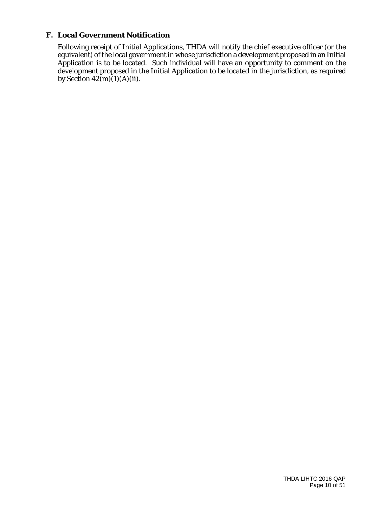# **F. Local Government Notification**

Following receipt of Initial Applications, THDA will notify the chief executive officer (or the equivalent) of the local government in whose jurisdiction a development proposed in an Initial Application is to be located. Such individual will have an opportunity to comment on the development proposed in the Initial Application to be located in the jurisdiction, as required by Section  $42(m)(1)(A)(ii)$ .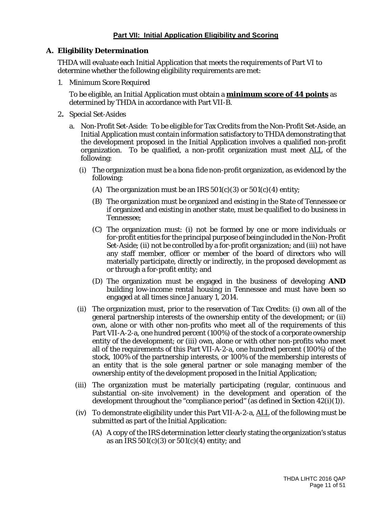### **Part VII: Initial Application Eligibility and Scoring**

#### **A. Eligibility Determination**

THDA will evaluate each Initial Application that meets the requirements of Part VI to determine whether the following eligibility requirements are met:

1. Minimum Score Required

To be eligible, an Initial Application must obtain a **minimum score of 44 points** as determined by THDA in accordance with Part VII-B.

- 2**.** Special Set-Asides
	- a. Non-Profit Set-Aside: To be eligible for Tax Credits from the Non-Profit Set-Aside, an Initial Application must contain information satisfactory to THDA demonstrating that the development proposed in the Initial Application involves a qualified non-profit organization. To be qualified, a non-profit organization must meet ALL of the following:
		- (i) The organization must be a *bona fide* non-profit organization, as evidenced by the following:
			- (A) The organization must be an IRS  $501(c)(3)$  or  $501(c)(4)$  entity;
			- (B) The organization must be organized and existing in the State of Tennessee or if organized and existing in another state, must be qualified to do business in Tennessee;
			- (C) The organization must: (i) not be formed by one or more individuals or for-profit entities for the principal purpose of being included in the Non-Profit Set-Aside; (ii) not be controlled by a for-profit organization; and (iii) not have any staff member, officer or member of the board of directors who will materially participate, directly or indirectly, in the proposed development as or through a for-profit entity; and
			- (D) The organization must be engaged in the business of developing **AND** building low-income rental housing in Tennessee and must have been so engaged at all times since January 1, 2014.
		- (ii) The organization must, prior to the reservation of Tax Credits: (i) own all of the general partnership interests of the ownership entity of the development; or (ii) own, alone or with other non-profits who meet all of the requirements of this Part VII-A-2-a, one hundred percent (100%) of the stock of a corporate ownership entity of the development; or (iii) own, alone or with other non-profits who meet all of the requirements of this Part VII-A-2-a, one hundred percent (100%) of the stock, 100% of the partnership interests, or 100% of the membership interests of an entity that is the sole general partner or sole managing member of the ownership entity of the development proposed in the Initial Application;
		- (iii) The organization must be materially participating (regular, continuous and substantial on-site involvement) in the development and operation of the development throughout the "compliance period" (as defined in Section 42(i)(1)).
		- (iv) To demonstrate eligibility under this Part VII-A-2-a, ALL of the following must be submitted as part of the Initial Application:
			- (A) A copy of the IRS determination letter clearly stating the organization's status as an IRS  $501(c)(3)$  or  $501(c)(4)$  entity; and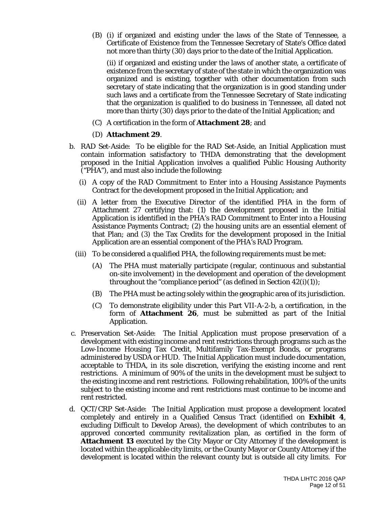(B) (i) if organized and existing under the laws of the State of Tennessee, a Certificate of Existence from the Tennessee Secretary of State's Office dated not more than thirty (30) days prior to the date of the Initial Application.

(ii) if organized and existing under the laws of another state, a certificate of existence from the secretary of state of the state in which the organization was organized and is existing, together with other documentation from such secretary of state indicating that the organization is in good standing under such laws and a certificate from the Tennessee Secretary of State indicating that the organization is qualified to do business in Tennessee, all dated not more than thirty (30) days prior to the date of the Initial Application; and

(C) A certification in the form of **Attachment 28**; and

#### (D) **Attachment 29**.

- b. RAD Set-Aside: To be eligible for the RAD Set-Aside, an Initial Application must contain information satisfactory to THDA demonstrating that the development proposed in the Initial Application involves a qualified Public Housing Authority ("PHA"), and must also include the following:
	- (i) A copy of the RAD Commitment to Enter into a Housing Assistance Payments Contract for the development proposed in the Initial Application; and
	- (ii) A letter from the Executive Director of the identified PHA in the form of Attachment 27 certifying that: (1) the development proposed in the Initial Application is identified in the PHA's RAD Commitment to Enter into a Housing Assistance Payments Contract; (2) the housing units are an essential element of that Plan; and (3) the Tax Credits for the development proposed in the Initial Application are an essential component of the PHA's RAD Program.
	- (iii) To be considered a qualified PHA, the following requirements must be met:
		- (A) The PHA must materially participate (regular, continuous and substantial on-site involvement) in the development and operation of the development throughout the "compliance period" (as defined in Section  $42(i)(1)$ );
		- (B) The PHA must be acting solely within the geographic area of its jurisdiction.
		- (C) To demonstrate eligibility under this Part VII-A-2-b, a certification, in the form of **Attachment 26**, must be submitted as part of the Initial Application.
- c. Preservation Set-Aside: The Initial Application must propose preservation of a development with existing income and rent restrictions through programs such as the Low-Income Housing Tax Credit, Multifamily Tax-Exempt Bonds, or programs administered by USDA or HUD. The Initial Application must include documentation, acceptable to THDA, in its sole discretion, verifying the existing income and rent restrictions. A minimum of 90% of the units in the development must be subject to the existing income and rent restrictions. Following rehabilitation, 100% of the units subject to the existing income and rent restrictions must continue to be income and rent restricted.
- d. QCT/CRP Set-Aside: The Initial Application must propose a development located completely and entirely in a Qualified Census Tract (identified on **Exhibit 4**, excluding Difficult to Develop Areas), the development of which contributes to an approved concerted community revitalization plan, as certified in the form of **Attachment 13** executed by the City Mayor or City Attorney if the development is located within the applicable city limits, or the County Mayor or County Attorney if the development is located within the relevant county but is outside all city limits. For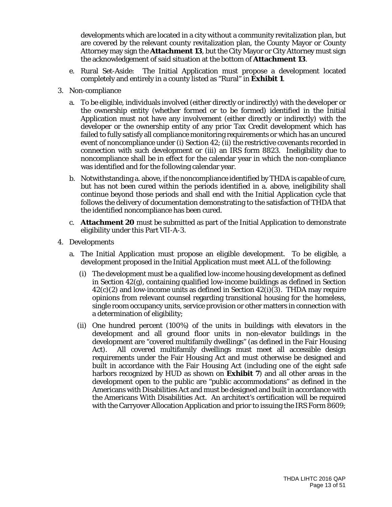developments which are located in a city without a community revitalization plan, but are covered by the relevant county revitalization plan, the County Mayor or County Attorney may sign the **Attachment 13**, but the City Mayor or City Attorney must sign the acknowledgement of said situation at the bottom of **Attachment 13**.

- e. Rural Set-Aside: The Initial Application must propose a development located completely and entirely in a county listed as "Rural" in **Exhibit 1**.
- 3. Non-compliance
	- a. To be eligible, individuals involved (either directly or indirectly) with the developer or the ownership entity (whether formed or to be formed) identified in the Initial Application must not have any involvement (either directly or indirectly) with the developer or the ownership entity of any prior Tax Credit development which has failed to fully satisfy all compliance monitoring requirements or which has an uncured event of noncompliance under (i) Section 42; (ii) the restrictive covenants recorded in connection with such development or (iii) an IRS form 8823. Ineligibility due to noncompliance shall be in effect for the calendar year in which the non-compliance was identified and for the following calendar year.
	- b. Notwithstanding a. above, if the noncompliance identified by THDA is capable of cure, but has not been cured within the periods identified in a. above, ineligibility shall continue beyond those periods and shall end with the Initial Application cycle that follows the delivery of documentation demonstrating to the satisfaction of THDA that the identified noncompliance has been cured.
	- c. **Attachment 20** must be submitted as part of the Initial Application to demonstrate eligibility under this Part VII-A-3.
- 4. Developments
	- a. The Initial Application must propose an eligible development. To be eligible, a development proposed in the Initial Application must meet ALL of the following:
		- (i) The development must be a qualified low-income housing development as defined in Section 42(g), containing qualified low-income buildings as defined in Section  $42(c)(2)$  and low-income units as defined in Section  $42(i)(3)$ . THDA may require opinions from relevant counsel regarding transitional housing for the homeless, single room occupancy units, service provision or other matters in connection with a determination of eligibility;
		- (ii) One hundred percent (100%) of the units in buildings with elevators in the development and all ground floor units in non-elevator buildings in the development are "covered multifamily dwellings" (as defined in the Fair Housing Act). All covered multifamily dwellings must meet all accessible design requirements under the Fair Housing Act and must otherwise be designed and built in accordance with the Fair Housing Act (including one of the eight safe harbors recognized by HUD as shown on **Exhibit 7**) and all other areas in the development open to the public are "public accommodations" as defined in the Americans with Disabilities Act and must be designed and built in accordance with the Americans With Disabilities Act. An architect's certification will be required with the Carryover Allocation Application and prior to issuing the IRS Form 8609;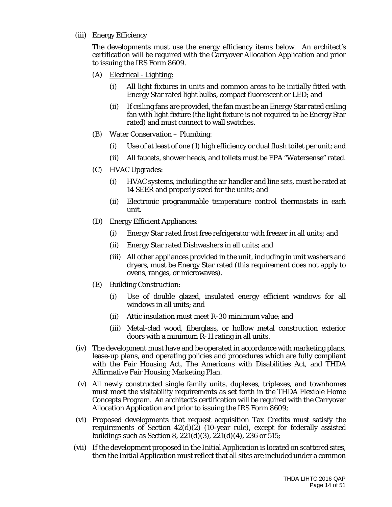#### (iii) Energy Efficiency

The developments must use the energy efficiency items below. An architect's certification will be required with the Carryover Allocation Application and prior to issuing the IRS Form 8609.

- (A) Electrical Lighting:
	- (i) All light fixtures in units and common areas to be initially fitted with Energy Star rated light bulbs, compact fluorescent or LED; and
	- (ii) If ceiling fans are provided, the fan must be an Energy Star rated ceiling fan with light fixture (the light fixture is not required to be Energy Star rated) and must connect to wall switches.
- (B) Water Conservation Plumbing:
	- (i) Use of at least of one (1) high efficiency or dual flush toilet per unit; and
	- (ii) All faucets, shower heads, and toilets must be EPA "Watersense" rated.
- (C) HVAC Upgrades:
	- (i) HVAC systems, including the air handler and line sets, must be rated at 14 SEER and properly sized for the units; and
	- (ii) Electronic programmable temperature control thermostats in each unit.
- (D) Energy Efficient Appliances:
	- (i) Energy Star rated frost free refrigerator with freezer in all units; and
	- (ii) Energy Star rated Dishwashers in all units; and
	- (iii) All other appliances provided in the unit, including in unit washers and dryers, must be Energy Star rated (this requirement does not apply to ovens, ranges, or microwaves).
- (E) Building Construction:
	- (i) Use of double glazed, insulated energy efficient windows for all windows in all units; and
	- (ii) Attic insulation must meet R-30 minimum value; and
	- (iii) Metal-clad wood, fiberglass, or hollow metal construction exterior doors with a minimum R-11 rating in all units.
- (iv) The development must have and be operated in accordance with marketing plans, lease-up plans, and operating policies and procedures which are fully compliant with the Fair Housing Act, The Americans with Disabilities Act, and THDA Affirmative Fair Housing Marketing Plan.
- (v) All newly constructed single family units, duplexes, triplexes, and townhomes must meet the visitability requirements as set forth in the THDA Flexible Home Concepts Program. An architect's certification will be required with the Carryover Allocation Application and prior to issuing the IRS Form 8609;
- (vi) Proposed developments that request acquisition Tax Credits must satisfy the requirements of Section 42(d)(2) (10-year rule), except for federally assisted buildings such as Section 8, 221(d)(3), 221(d)(4), 236 or 515;
- (vii) If the development proposed in the Initial Application is located on scattered sites, then the Initial Application must reflect that all sites are included under a common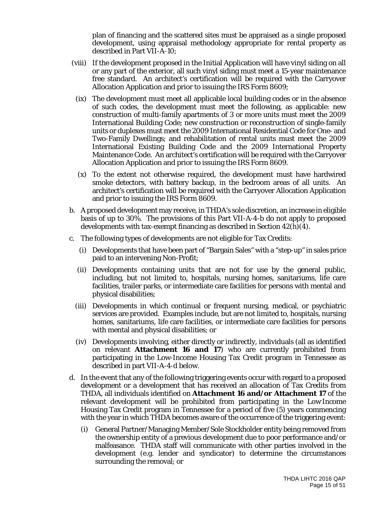plan of financing and the scattered sites must be appraised as a single proposed development, using appraisal methodology appropriate for rental property as described in Part VII-A-10;

- (viii) If the development proposed in the Initial Application will have vinyl siding on all or any part of the exterior, all such vinyl siding must meet a 15-year maintenance free standard. An architect's certification will be required with the Carryover Allocation Application and prior to issuing the IRS Form 8609;
- (ix) The development must meet all applicable local building codes or in the absence of such codes, the development must meet the following, as applicable: new construction of multi-family apartments of 3 or more units must meet the 2009 International Building Code; new construction or reconstruction of single-family units or duplexes must meet the 2009 International Residential Code for One- and Two-Family Dwellings; and rehabilitation of rental units must meet the 2009 International Existing Building Code and the 2009 International Property Maintenance Code. An architect's certification will be required with the Carryover Allocation Application and prior to issuing the IRS Form 8609.
- (x) To the extent not otherwise required, the development must have hardwired smoke detectors, with battery backup, in the bedroom areas of all units. An architect's certification will be required with the Carryover Allocation Application and prior to issuing the IRS Form 8609.
- b. A proposed development may receive, in THDA's sole discretion, an increase in eligible basis of up to 30%. The provisions of this Part VII-A-4-b do not apply to proposed developments with tax-exempt financing as described in Section  $42(h)(4)$ .
- c. The following types of developments are not eligible for Tax Credits:
	- (i) Developments that have been part of "Bargain Sales" with a "step-up" in sales price paid to an intervening Non-Profit;
	- (ii) Developments containing units that are not for use by the general public, including, but not limited to, hospitals, nursing homes, sanitariums, life care facilities, trailer parks, or intermediate care facilities for persons with mental and physical disabilities;
	- (iii) Developments in which continual or frequent nursing, medical, or psychiatric services are provided. Examples include, but are not limited to, hospitals, nursing homes, sanitariums, life care facilities, or intermediate care facilities for persons with mental and physical disabilities; or
	- (iv) Developments involving, either directly or indirectly, individuals (all as identified on relevant **Attachment 16 and 17**) who are currently prohibited from participating in the Low-Income Housing Tax Credit program in Tennessee as described in part VII-A-4-d below.
- d. In the event that any of the following triggering events occur with regard to a proposed development or a development that has received an allocation of Tax Credits from THDA, all individuals identified on **Attachment 16 and/or Attachment 17** of the relevant development will be prohibited from participating in the Low-Income Housing Tax Credit program in Tennessee for a period of five (5) years commencing with the year in which THDA becomes aware of the occurrence of the triggering event:
	- (i) General Partner/Managing Member/Sole Stockholder entity being removed from the ownership entity of a previous development due to poor performance and/or malfeasance. THDA staff will communicate with other parties involved in the development (e.g. lender and syndicator) to determine the circumstances surrounding the removal; or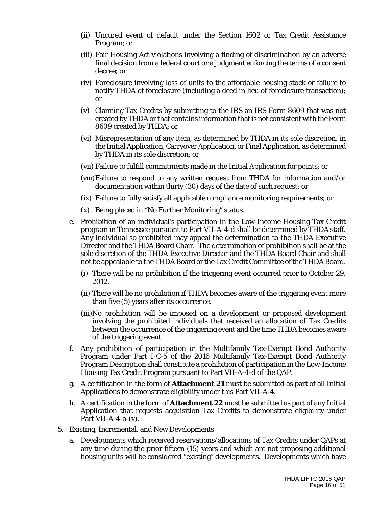- (ii) Uncured event of default under the Section 1602 or Tax Credit Assistance Program; or
- (iii) Fair Housing Act violations involving a finding of discrimination by an adverse final decision from a federal court or a judgment enforcing the terms of a consent decree; or
- (iv) Foreclosure involving loss of units to the affordable housing stock or failure to notify THDA of foreclosure (including a deed in lieu of foreclosure transaction); or
- (v) Claiming Tax Credits by submitting to the IRS an IRS Form 8609 that was not created by THDA or that contains information that is not consistent with the Form 8609 created by THDA; or
- (vi) Misrepresentation of any item, as determined by THDA in its sole discretion, in the Initial Application, Carryover Application, or Final Application, as determined by THDA in its sole discretion; or
- (vii) Failure to fulfill commitments made in the Initial Application for points; or
- (viii)Failure to respond to any written request from THDA for information and/or documentation within thirty (30) days of the date of such request; or
- (ix) Failure to fully satisfy all applicable compliance monitoring requirements; or
- (x) Being placed in "No Further Monitoring" status.
- e. Prohibition of an individual's participation in the Low-Income Housing Tax Credit program in Tennessee pursuant to Part VII-A-4-d shall be determined by THDA staff. Any individual so prohibited may appeal the determination to the THDA Executive Director and the THDA Board Chair. The determination of prohibition shall be at the sole discretion of the THDA Executive Director and the THDA Board Chair and shall not be appealable to the THDA Board or the Tax Credit Committee of the THDA Board.
	- (i) There will be no prohibition if the triggering event occurred prior to October 29, 2012.
	- (ii) There will be no prohibition if THDA becomes aware of the triggering event more than five (5) years after its occurrence.
	- (iii)No prohibition will be imposed on a development or proposed development involving the prohibited individuals that received an allocation of Tax Credits between the occurrence of the triggering event and the time THDA becomes aware of the triggering event.
- f. Any prohibition of participation in the Multifamily Tax-Exempt Bond Authority Program under Part I-C-5 of the 2016 Multifamily Tax-Exempt Bond Authority Program Description shall constitute a prohibition of participation in the Low-Income Housing Tax Credit Program pursuant to Part VII-A-4-d of the QAP.
- g. A certification in the form of **Attachment 21** must be submitted as part of all Initial Applications to demonstrate eligibility under this Part VII-A-4.
- h. A certification in the form of **Attachment 22** must be submitted as part of any Initial Application that requests acquisition Tax Credits to demonstrate eligibility under Part VII-A-4-a- $(v)$ .
- 5. Existing, Incremental, and New Developments
	- a. Developments which received reservations/allocations of Tax Credits under QAPs at any time during the prior fifteen (15) years and which are not proposing additional housing units will be considered "existing" developments. Developments which have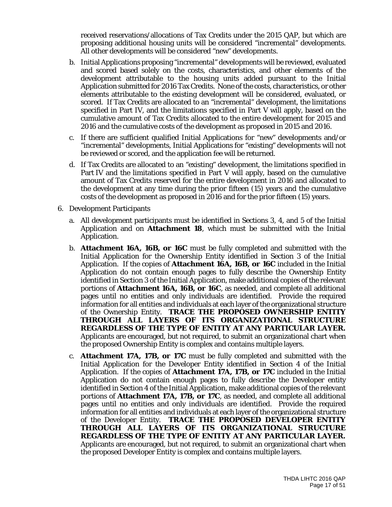received reservations/allocations of Tax Credits under the 2015 QAP, but which are proposing additional housing units will be considered "incremental" developments. All other developments will be considered "new" developments.

- b. Initial Applications proposing "incremental" developments will be reviewed, evaluated and scored based solely on the costs, characteristics, and other elements of the development attributable to the housing units added pursuant to the Initial Application submitted for 2016 Tax Credits. None of the costs, characteristics, or other elements attributable to the existing development will be considered, evaluated, or scored. If Tax Credits are allocated to an "incremental" development, the limitations specified in Part IV, and the limitations specified in Part V will apply, based on the cumulative amount of Tax Credits allocated to the entire development for 2015 and 2016 and the cumulative costs of the development as proposed in 2015 and 2016.
- c. If there are sufficient qualified Initial Applications for "new" developments and/or "incremental" developments, Initial Applications for "existing" developments will not be reviewed or scored, and the application fee will be returned.
- d. If Tax Credits are allocated to an "existing" development, the limitations specified in Part IV and the limitations specified in Part V will apply, based on the cumulative amount of Tax Credits reserved for the entire development in 2016 and allocated to the development at any time during the prior fifteen (15) years and the cumulative costs of the development as proposed in 2016 and for the prior fifteen (15) years.
- 6. Development Participants
	- a. All development participants must be identified in Sections 3, 4, and 5 of the Initial Application and on **Attachment 18**, which must be submitted with the Initial Application.
	- b. **Attachment 16A, 16B, or 16C** must be fully completed and submitted with the Initial Application for the Ownership Entity identified in Section 3 of the Initial Application. If the copies of **Attachment 16A, 16B, or 16C** included in the Initial Application do not contain enough pages to fully describe the Ownership Entity identified in Section 3 of the Initial Application, make additional copies of the relevant portions of **Attachment 16A, 16B, or 16C**, as needed, and complete all additional pages until no entities and only individuals are identified. Provide the required information for all entities and individuals at each layer of the organizational structure of the Ownership Entity. **TRACE THE PROPOSED OWNERSHIP ENTITY THROUGH ALL LAYERS OF ITS ORGANIZATIONAL STRUCTURE REGARDLESS OF THE TYPE OF ENTITY AT ANY PARTICULAR LAYER.**  Applicants are encouraged, but not required, to submit an organizational chart when the proposed Ownership Entity is complex and contains multiple layers.
	- c. **Attachment 17A, 17B, or 17C** must be fully completed and submitted with the Initial Application for the Developer Entity identified in Section 4 of the Initial Application. If the copies of **Attachment 17A, 17B, or 17C** included in the Initial Application do not contain enough pages to fully describe the Developer entity identified in Section 4 of the Initial Application, make additional copies of the relevant portions of **Attachment 17A, 17B, or 17C**, as needed, and complete all additional pages until no entities and only individuals are identified. Provide the required information for all entities and individuals at each layer of the organizational structure of the Developer Entity. **TRACE THE PROPOSED DEVELOPER ENTITY THROUGH ALL LAYERS OF ITS ORGANIZATIONAL STRUCTURE REGARDLESS OF THE TYPE OF ENTITY AT ANY PARTICULAR LAYER.**  Applicants are encouraged, but not required, to submit an organizational chart when the proposed Developer Entity is complex and contains multiple layers.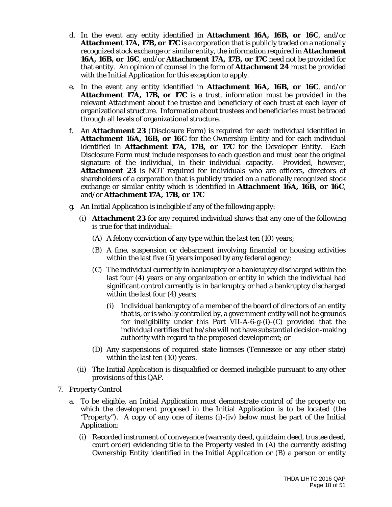- d. In the event any entity identified in **Attachment 16A, 16B, or 16C**, and/or **Attachment 17A, 17B, or 17C** is a corporation that is publicly traded on a nationally recognized stock exchange or similar entity, the information required in **Attachment 16A, 16B, or 16C**, and/or **Attachment 17A, 17B, or 17C** need not be provided for that entity. An opinion of counsel in the form of **Attachment 24** must be provided with the Initial Application for this exception to apply.
- e. In the event any entity identified in **Attachment 16A, 16B, or 16C**, and/or **Attachment 17A, 17B, or 17C** is a trust, information must be provided in the relevant Attachment about the trustee and beneficiary of each trust at each layer of organizational structure. Information about trustees and beneficiaries must be traced through all levels of organizational structure.
- f. An **Attachment 23** (Disclosure Form) is required for each individual identified in **Attachment 16A, 16B, or 16C** for the Ownership Entity and for each individual identified in **Attachment 17A, 17B, or 17C** for the Developer Entity. Each Disclosure Form must include responses to each question and must bear the original signature of the individual, in their individual capacity. Provided, however, **Attachment 23** is NOT required for individuals who are officers, directors of shareholders of a corporation that is publicly traded on a nationally recognized stock exchange or similar entity which is identified in **Attachment 16A, 16B, or 16C**, and/or **Attachment 17A, 17B, or 17C**
- g. An Initial Application is ineligible if any of the following apply:
	- (i) **Attachment 23** for any required individual shows that any one of the following is true for that individual:
		- (A) A felony conviction of any type within the last ten (10) years;
		- (B) A fine, suspension or debarment involving financial or housing activities within the last five (5) years imposed by any federal agency;
		- (C) The individual currently in bankruptcy or a bankruptcy discharged within the last four (4) years or any organization or entity in which the individual had significant control currently is in bankruptcy or had a bankruptcy discharged within the last four (4) years;
			- Individual bankruptcy of a member of the board of directors of an entity that is, or is wholly controlled by, a government entity will not be grounds for ineligibility under this Part VII-A-6-g-(i)-(C) provided that the individual certifies that he/she will not have substantial decision-making authority with regard to the proposed development; or
		- (D) Any suspensions of required state licenses (Tennessee or any other state) within the last ten (10) years.
	- (ii) The Initial Application is disqualified or deemed ineligible pursuant to any other provisions of this QAP.
- 7. Property Control
	- a. To be eligible, an Initial Application must demonstrate control of the property on which the development proposed in the Initial Application is to be located (the "Property"). A copy of any one of items (i)-(iv) below must be part of the Initial Application:
		- (i) Recorded instrument of conveyance (warranty deed, quitclaim deed, trustee deed, court order) evidencing title to the Property vested in (A) the currently existing Ownership Entity identified in the Initial Application or (B) a person or entity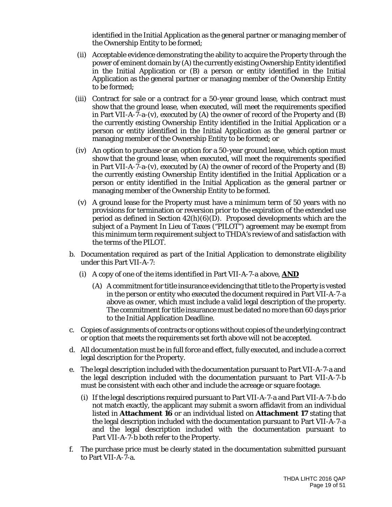identified in the Initial Application as the general partner or managing member of the Ownership Entity to be formed;

- (ii) Acceptable evidence demonstrating the ability to acquire the Property through the power of eminent domain by (A) the currently existing Ownership Entity identified in the Initial Application or (B) a person or entity identified in the Initial Application as the general partner or managing member of the Ownership Entity to be formed;
- (iii) Contract for sale or a contract for a 50-year ground lease, which contract must show that the ground lease, when executed, will meet the requirements specified in Part VII-A-7-a-(v), executed by (A) the owner of record of the Property and (B) the currently existing Ownership Entity identified in the Initial Application or a person or entity identified in the Initial Application as the general partner or managing member of the Ownership Entity to be formed; or
- (iv) An option to purchase or an option for a 50-year ground lease, which option must show that the ground lease, when executed, will meet the requirements specified in Part VII-A-7-a-(v), executed by (A) the owner of record of the Property and (B) the currently existing Ownership Entity identified in the Initial Application or a person or entity identified in the Initial Application as the general partner or managing member of the Ownership Entity to be formed.
- (v) A ground lease for the Property must have a minimum term of 50 years with no provisions for termination or reversion prior to the expiration of the extended use period as defined in Section  $42(h)(6)(D)$ . Proposed developments which are the subject of a Payment In Lieu of Taxes ("PILOT") agreement may be exempt from this minimum term requirement subject to THDA's review of and satisfaction with the terms of the PILOT.
- b. Documentation required as part of the Initial Application to demonstrate eligibility under this Part VII-A-7:
	- (i) A copy of one of the items identified in Part VII-A-7-a above, **AND**
		- (A) A commitment for title insurance evidencing that title to the Property is vested in the person or entity who executed the document required in Part VII-A-7-a above as owner, which must include a valid legal description of the property. The commitment for title insurance must be dated no more than 60 days prior to the Initial Application Deadline.
- c. Copies of assignments of contracts or options without copies of the underlying contract or option that meets the requirements set forth above will not be accepted.
- d. All documentation must be in full force and effect, fully executed, and include a correct legal description for the Property.
- e. The legal description included with the documentation pursuant to Part VII-A-7-a and the legal description included with the documentation pursuant to Part VII-A-7-b must be consistent with each other and include the acreage or square footage.
	- (i) If the legal descriptions required pursuant to Part VII-A-7-a and Part VII-A-7-b do not match exactly, the applicant may submit a sworn affidavit from an individual listed in **Attachment 16** or an individual listed on **Attachment 17** stating that the legal description included with the documentation pursuant to Part VII-A-7-a and the legal description included with the documentation pursuant to Part VII-A-7-b both refer to the Property.
- f. The purchase price must be clearly stated in the documentation submitted pursuant to Part VII-A-7-a.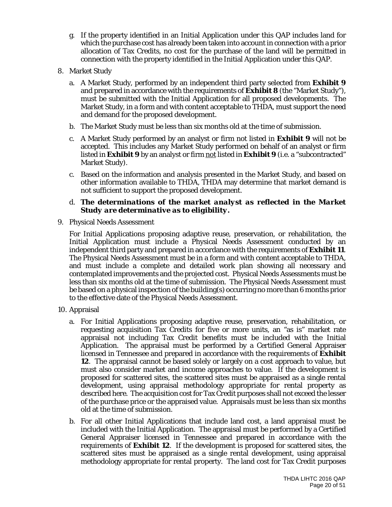- g. If the property identified in an Initial Application under this QAP includes land for which the purchase cost has already been taken into account in connection with a prior allocation of Tax Credits, no cost for the purchase of the land will be permitted in connection with the property identified in the Initial Application under this QAP.
- 8. Market Study
	- a. A Market Study, performed by an independent third party selected from **Exhibit 9** and prepared in accordance with the requirements of **Exhibit 8** (the "Market Study"), must be submitted with the Initial Application for all proposed developments. The Market Study, in a form and with content acceptable to THDA, must support the need and demand for the proposed development.
	- b. The Market Study must be less than six months old at the time of submission.
	- c. A Market Study performed by an analyst or firm not listed in **Exhibit 9** will not be accepted. This includes any Market Study performed on behalf of an analyst or firm listed in **Exhibit 9** by an analyst or firm not listed in **Exhibit 9** (i.e. a "subcontracted" Market Study).
	- c. Based on the information and analysis presented in the Market Study, and based on other information available to THDA, THDA may determine that market demand is not sufficient to support the proposed development.
	- d. *The determinations of the market analyst as reflected in the Market Study are determinative as to eligibility.*
- 9. Physical Needs Assessment

For Initial Applications proposing adaptive reuse, preservation, or rehabilitation, the Initial Application must include a Physical Needs Assessment conducted by an independent third party and prepared in accordance with the requirements of **Exhibit 11**. The Physical Needs Assessment must be in a form and with content acceptable to THDA, and must include a complete and detailed work plan showing all necessary and contemplated improvements and the projected cost. Physical Needs Assessments must be less than six months old at the time of submission. The Physical Needs Assessment must be based on a physical inspection of the building(s) occurring no more than 6 months prior to the effective date of the Physical Needs Assessment.

- 10. Appraisal
	- a. For Initial Applications proposing adaptive reuse, preservation, rehabilitation, or requesting acquisition Tax Credits for five or more units, an "as is" market rate appraisal not including Tax Credit benefits must be included with the Initial Application. The appraisal must be performed by a Certified General Appraiser licensed in Tennessee and prepared in accordance with the requirements of **Exhibit 12**. The appraisal cannot be based solely or largely on a cost approach to value, but must also consider market and income approaches to value. If the development is proposed for scattered sites, the scattered sites must be appraised as a single rental development, using appraisal methodology appropriate for rental property as described here. The acquisition cost for Tax Credit purposes shall not exceed the lesser of the purchase price or the appraised value. Appraisals must be less than six months old at the time of submission.
	- b. For all other Initial Applications that include land cost, a land appraisal must be included with the Initial Application. The appraisal must be performed by a Certified General Appraiser licensed in Tennessee and prepared in accordance with the requirements of **Exhibit 12**. If the development is proposed for scattered sites, the scattered sites must be appraised as a single rental development, using appraisal methodology appropriate for rental property. The land cost for Tax Credit purposes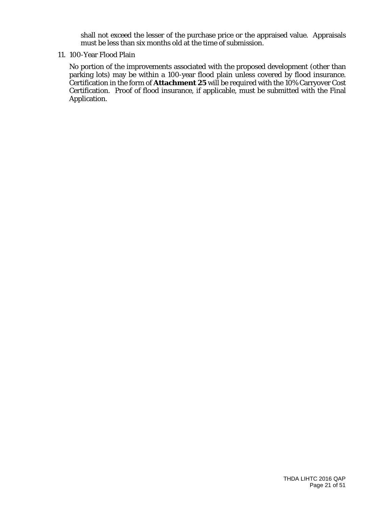shall not exceed the lesser of the purchase price or the appraised value. Appraisals must be less than six months old at the time of submission.

#### 11. 100-Year Flood Plain

No portion of the improvements associated with the proposed development (other than parking lots) may be within a 100-year flood plain unless covered by flood insurance. Certification in the form of **Attachment 25** will be required with the 10% Carryover Cost Certification. Proof of flood insurance, if applicable, must be submitted with the Final Application.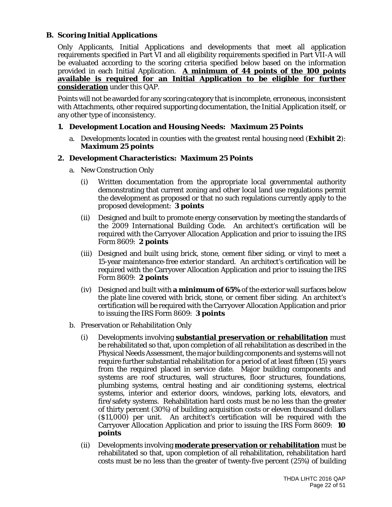# **B. Scoring Initial Applications**

Only Applicants, Initial Applications and developments that meet all application requirements specified in Part VI and all eligibility requirements specified in Part VII-A will be evaluated according to the scoring criteria specified below based on the information provided in each Initial Application. **A minimum of 44 points of the 100 points available is required for an Initial Application to be eligible for further consideration** under this QAP.

Points will not be awarded for any scoring category that is incomplete, erroneous, inconsistent with Attachments, other required supporting documentation, the Initial Application itself, or any other type of inconsistency.

#### **1. Development Location and Housing Needs: Maximum 25 Points**

a. Developments located in counties with the greatest rental housing need (**Exhibit 2**): *Maximum 25 points*

#### **2. Development Characteristics: Maximum 25 Points**

- a. New Construction Only
	- (i) Written documentation from the appropriate local governmental authority demonstrating that current zoning and other local land use regulations permit the development as proposed or that no such regulations currently apply to the proposed development: *3 points*
	- (ii) Designed and built to promote energy conservation by meeting the standards of the 2009 International Building Code. An architect's certification will be required with the Carryover Allocation Application and prior to issuing the IRS Form 8609: *2 points*
	- (iii) Designed and built using brick, stone, cement fiber siding, or vinyl to meet a 15-year maintenance-free exterior standard. An architect's certification will be required with the Carryover Allocation Application and prior to issuing the IRS Form 8609: *2 points*
	- (iv) Designed and built with **a minimum of 65%** of the exterior wall surfaces below the plate line covered with brick, stone, or cement fiber siding. An architect's certification will be required with the Carryover Allocation Application and prior to issuing the IRS Form 8609: *3 points*
- b. Preservation or Rehabilitation Only
	- (i) Developments involving **substantial preservation or rehabilitation** must be rehabilitated so that, upon completion of all rehabilitation as described in the Physical Needs Assessment, the major building components and systems will not require further substantial rehabilitation for a period of at least fifteen (15) years from the required placed in service date. Major building components and systems are roof structures, wall structures, floor structures, foundations, plumbing systems, central heating and air conditioning systems, electrical systems, interior and exterior doors, windows, parking lots, elevators, and fire/safety systems. Rehabilitation hard costs must be no less than the greater of thirty percent (30%) of building acquisition costs or eleven thousand dollars (\$11,000) per unit. An architect's certification will be required with the Carryover Allocation Application and prior to issuing the IRS Form 8609: **10 points**
	- (ii) Developments involving **moderate preservation or rehabilitation** must be rehabilitated so that, upon completion of all rehabilitation, rehabilitation hard costs must be no less than the greater of twenty-five percent (25%) of building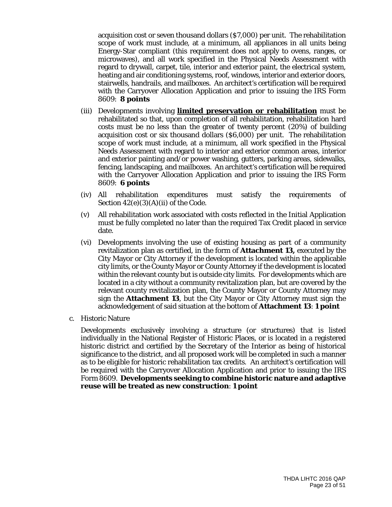acquisition cost or seven thousand dollars (\$7,000) per unit. The rehabilitation scope of work must include, at a minimum, all appliances in all units being Energy-Star compliant (this requirement does not apply to ovens, ranges, or microwaves), and all work specified in the Physical Needs Assessment with regard to drywall, carpet, tile, interior and exterior paint, the electrical system, heating and air conditioning systems, roof, windows, interior and exterior doors, stairwells, handrails, and mailboxes. An architect's certification will be required with the Carryover Allocation Application and prior to issuing the IRS Form 8609: **8 points**

- (iii) Developments involving **limited preservation or rehabilitation** must be rehabilitated so that, upon completion of all rehabilitation, rehabilitation hard costs must be no less than the greater of twenty percent (20%) of building acquisition cost or six thousand dollars (\$6,000) per unit. The rehabilitation scope of work must include, at a minimum, all work specified in the Physical Needs Assessment with regard to interior and exterior common areas, interior and exterior painting and/or power washing, gutters, parking areas, sidewalks, fencing, landscaping, and mailboxes. An architect's certification will be required with the Carryover Allocation Application and prior to issuing the IRS Form 8609: **6 points**
- (iv) All rehabilitation expenditures must satisfy the requirements of Section  $42(e)(3)(A)(ii)$  of the Code.
- (v) All rehabilitation work associated with costs reflected in the Initial Application must be fully completed no later than the required Tax Credit placed in service date.
- (vi) Developments involving the use of existing housing as part of a community revitalization plan as certified, in the form of **Attachment 13,** executed by the City Mayor or City Attorney if the development is located within the applicable city limits, or the County Mayor or County Attorney if the development is located within the relevant county but is outside city limits. For developments which are located in a city without a community revitalization plan, but are covered by the relevant county revitalization plan, the County Mayor or County Attorney may sign the **Attachment 13**, but the City Mayor or City Attorney must sign the acknowledgement of said situation at the bottom of **Attachment 13**: *1 point*
- c. Historic Nature

Developments exclusively involving a structure (or structures) that is listed individually in the National Register of Historic Places, or is located in a registered historic district and certified by the Secretary of the Interior as being of historical significance to the district, and all proposed work will be completed in such a manner as to be eligible for historic rehabilitation tax credits. An architect's certification will be required with the Carryover Allocation Application and prior to issuing the IRS Form 8609. **Developments seeking to combine historic nature and adaptive reuse will be treated as new construction**: *1 point*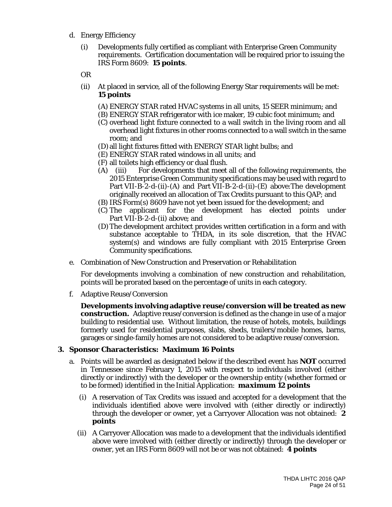- d. Energy Efficiency
	- (i) Developments fully certified as compliant with Enterprise Green Community requirements. Certification documentation will be required prior to issuing the IRS Form 8609: *15 points*.

OR

- (ii) At placed in service, all of the following Energy Star requirements will be met: *15 points*
	- (A) ENERGY STAR rated HVAC systems in all units, 15 SEER minimum; and
	- (B) ENERGY STAR refrigerator with ice maker, 19 cubic foot minimum; and
	- (C) overhead light fixture connected to a wall switch in the living room and all overhead light fixtures in other rooms connected to a wall switch in the same room; and
	- (D) all light fixtures fitted with ENERGY STAR light bulbs; and
	- (E) ENERGY STAR rated windows in all units; and
	- (F) all toilets high efficiency or dual flush.
	- (A) (iii) For developments that meet all of the following requirements, the 2015 Enterprise Green Community specifications may be used with regard to Part VII-B-2-d-(ii)-(A) and Part VII-B-2-d-(ii)-(E) above:The development originally received an allocation of Tax Credits pursuant to this QAP; and
	- (B) IRS Form(s) 8609 have not yet been issued for the development; and
	- (C) The applicant for the development has elected points under Part VII-B-2-d-(ii) above; and
	- (D)The development architect provides written certification in a form and with substance acceptable to THDA, in its sole discretion, that the HVAC system(s) and windows are fully compliant with 2015 Enterprise Green Community specifications.
- e. Combination of New Construction and Preservation or Rehabilitation

For developments involving a combination of new construction and rehabilitation, points will be prorated based on the percentage of units in each category.

f. Adaptive Reuse/Conversion

**Developments involving adaptive reuse/conversion will be treated as new construction.** Adaptive reuse/conversion is defined as the change in use of a major building to residential use. Without limitation, the reuse of hotels, motels, buildings formerly used for residential purposes, slabs, sheds, trailers/mobile homes, barns, garages or single-family homes are not considered to be adaptive reuse/conversion.

#### **3. Sponsor Characteristics: Maximum 16 Points**

- a. Points will be awarded as designated below if the described event has **NOT** occurred in Tennessee since February 1, 2015 with respect to individuals involved (either directly or indirectly) with the developer or the ownership entity (whether formed or to be formed) identified in the Initial Application: *maximum 12 points*
	- (i) A reservation of Tax Credits was issued and accepted for a development that the individuals identified above were involved with (either directly or indirectly) through the developer or owner, yet a Carryover Allocation was not obtained: *2 points*
	- (ii) A Carryover Allocation was made to a development that the individuals identified above were involved with (either directly or indirectly) through the developer or owner, yet an IRS Form 8609 will not be or was not obtained: *4 points*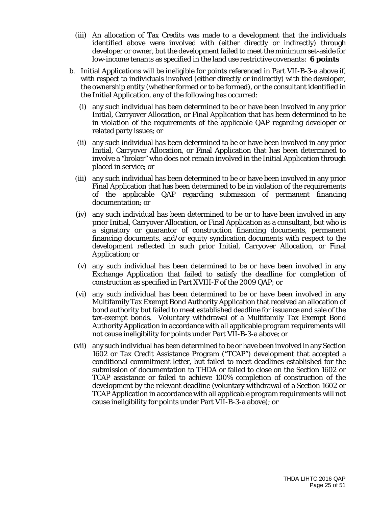- (iii) An allocation of Tax Credits was made to a development that the individuals identified above were involved with (either directly or indirectly) through developer or owner, but the development failed to meet the minimum set-aside for low-income tenants as specified in the land use restrictive covenants: *6 points*
- b. Initial Applications will be ineligible for points referenced in Part VII-B-3-a above if, with respect to individuals involved (either directly or indirectly) with the developer, the ownership entity (whether formed or to be formed), or the consultant identified in the Initial Application, any of the following has occurred:
	- (i) any such individual has been determined to be or have been involved in any prior Initial, Carryover Allocation, or Final Application that has been determined to be in violation of the requirements of the applicable QAP regarding developer or related party issues; or
	- (ii) any such individual has been determined to be or have been involved in any prior Initial, Carryover Allocation, or Final Application that has been determined to involve a "broker" who does not remain involved in the Initial Application through placed in service; or
	- (iii) any such individual has been determined to be or have been involved in any prior Final Application that has been determined to be in violation of the requirements of the applicable QAP regarding submission of permanent financing documentation; or
	- (iv) any such individual has been determined to be or to have been involved in any prior Initial, Carryover Allocation, or Final Application as a consultant, but who is a signatory or guarantor of construction financing documents, permanent financing documents, and/or equity syndication documents with respect to the development reflected in such prior Initial, Carryover Allocation, or Final Application; or
	- (v) any such individual has been determined to be or have been involved in any Exchange Application that failed to satisfy the deadline for completion of construction as specified in Part XVIII-F of the 2009 QAP; or
	- (vi) any such individual has been determined to be or have been involved in any Multifamily Tax Exempt Bond Authority Application that received an allocation of bond authority but failed to meet established deadline for issuance and sale of the tax-exempt bonds. Voluntary withdrawal of a Multifamily Tax Exempt Bond Authority Application in accordance with all applicable program requirements will not cause ineligibility for points under Part VII-B-3-a above; or
	- (vii) any such individual has been determined to be or have been involved in any Section 1602 or Tax Credit Assistance Program ("TCAP") development that accepted a conditional commitment letter, but failed to meet deadlines established for the submission of documentation to THDA or failed to close on the Section 1602 or TCAP assistance or failed to achieve 100% completion of construction of the development by the relevant deadline (voluntary withdrawal of a Section 1602 or TCAP Application in accordance with all applicable program requirements will not cause ineligibility for points under Part VII-B-3-a above); or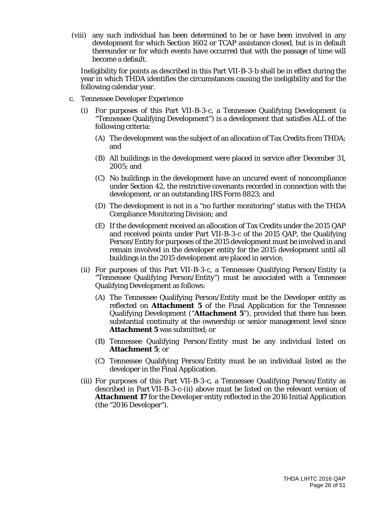(viii) any such individual has been determined to be or have been involved in any development for which Section 1602 or TCAP assistance closed, but is in default thereunder or for which events have occurred that with the passage of time will become a default.

Ineligibility for points as described in this Part VII-B-3-b shall be in effect during the year in which THDA identifies the circumstances causing the ineligibility and for the following calendar year.

- c. Tennessee Developer Experience
	- (i) For purposes of this Part VII-B-3-c, a Tennessee Qualifying Development (a "Tennessee Qualifying Development") is a development that satisfies ALL of the following criteria:
		- (A) The development was the subject of an allocation of Tax Credits from THDA; and
		- (B) All buildings in the development were placed in service after December 31, 2005; and
		- (C) No buildings in the development have an uncured event of noncompliance under Section 42, the restrictive covenants recorded in connection with the development, or an outstanding IRS Form 8823; and
		- (D) The development is not in a "no further monitoring" status with the THDA Compliance Monitoring Division; and
		- (E) If the development received an allocation of Tax Credits under the 2015 QAP and received points under Part VII-B-3-c of the 2015 QAP, the Qualifying Person/Entity for purposes of the 2015 development must be involved in and remain involved in the developer entity for the 2015 development until all buildings in the 2015 development are placed in service.
	- (ii) For purposes of this Part VII-B-3-c, a Tennessee Qualifying Person/Entity (a "Tennessee Qualifying Person/Entity") must be associated with a Tennessee Qualifying Development as follows:
		- (A) The Tennessee Qualifying Person/Entity must be the Developer entity as reflected on **Attachment 5** of the Final Application for the Tennessee Qualifying Development ("**Attachment 5**"), provided that there has been substantial continuity at the ownership or senior management level since **Attachment 5** was submitted; or
		- (B) Tennessee Qualifying Person/Entity must be any individual listed on **Attachment 5**; or
		- (C) Tennessee Qualifying Person/Entity must be an individual listed as the developer in the Final Application.
	- (iii) For purposes of this Part VII-B-3-c, a Tennessee Qualifying Person/Entity as described in Part VII-B-3-c-(ii) above must be listed on the relevant version of **Attachment 17** for the Developer entity reflected in the 2016 Initial Application (the "2016 Developer").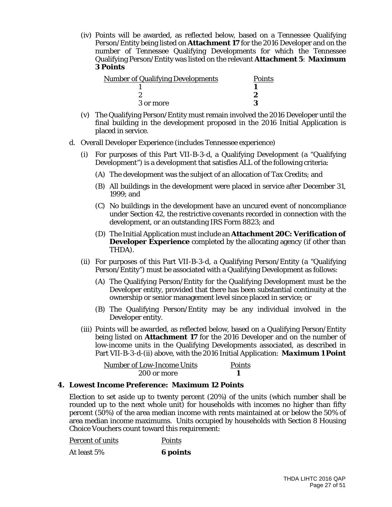(iv) Points will be awarded, as reflected below, based on a Tennessee Qualifying Person/Entity being listed on **Attachment 17** for the 2016 Developer and on the number of Tennessee Qualifying Developments for which the Tennessee Qualifying Person/Entity was listed on the relevant **Attachment 5**: *Maximum 3 Points*

| <b>Number of Qualifying Developments</b> | <b>Points</b> |
|------------------------------------------|---------------|
|                                          |               |
|                                          |               |
| 3 or more                                |               |

- (v) The Qualifying Person/Entity must remain involved the 2016 Developer until the final building in the development proposed in the 2016 Initial Application is placed in service.
- d. Overall Developer Experience (includes Tennessee experience)
	- (i) For purposes of this Part VII-B-3-d, a Qualifying Development (a "Qualifying Development") is a development that satisfies ALL of the following criteria:
		- (A) The development was the subject of an allocation of Tax Credits; and
		- (B) All buildings in the development were placed in service after December 31, 1999; and
		- (C) No buildings in the development have an uncured event of noncompliance under Section 42, the restrictive covenants recorded in connection with the development, or an outstanding IRS Form 8823; and
		- (D) The Initial Application must include an **Attachment 20C: Verification of Developer Experience** completed by the allocating agency (if other than THDA).
	- (ii) For purposes of this Part VII-B-3-d, a Qualifying Person/Entity (a "Qualifying Person/Entity") must be associated with a Qualifying Development as follows:
		- (A) The Qualifying Person/Entity for the Qualifying Development must be the Developer entity, provided that there has been substantial continuity at the ownership or senior management level since placed in service; or
		- (B) The Qualifying Person/Entity may be any individual involved in the Developer entity.
	- (iii) Points will be awarded, as reflected below, based on a Qualifying Person/Entity being listed on **Attachment 17** for the 2016 Developer and on the number of low-income units in the Qualifying Developments associated, as described in Part VII-B-3-d-(ii) above, with the 2016 Initial Application: *Maximum 1 Point*

| <b>Number of Low-Income Units</b> | <b>Points</b> |
|-----------------------------------|---------------|
| 200 or more                       |               |

# **4. Lowest Income Preference: Maximum 12 Points**

Election to set aside up to twenty percent (20%) of the units (which number shall be rounded up to the next whole unit) for households with incomes no higher than fifty percent (50%) of the area median income with rents maintained at or below the 50% of area median income maximums. Units occupied by households with Section 8 Housing Choice Vouchers count toward this requirement:

| Percent of units | <b>Points</b>   |
|------------------|-----------------|
| At least 5%      | <b>6</b> points |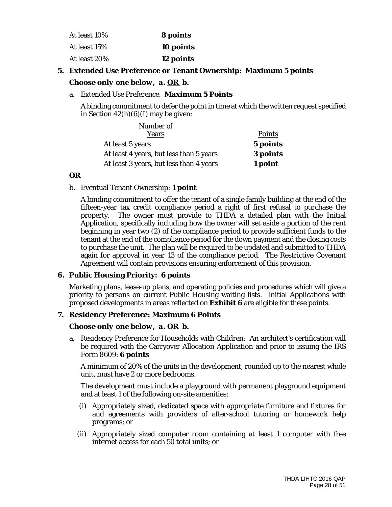| At least 10% | 8 points  |
|--------------|-----------|
| At least 15% | 10 points |
| At least 20% | 12 points |

#### **5. Extended Use Preference or Tenant Ownership: Maximum 5 points**

#### *Choose only one below, a. OR b.*

#### a. Extended Use Preference: **Maximum 5 Points**

A binding commitment to defer the point in time at which the written request specified in Section  $42(h)(6)(I)$  may be given:

| Number of                               |          |
|-----------------------------------------|----------|
| Years                                   | Points   |
| At least 5 years                        | 5 points |
| At least 4 years, but less than 5 years | 3 points |
| At least 3 years, but less than 4 years | 1 point  |

#### *OR*

#### b. Eventual Tenant Ownership: **1 point**

A binding commitment to offer the tenant of a single family building at the end of the fifteen-year tax credit compliance period a right of first refusal to purchase the property. The owner must provide to THDA a detailed plan with the Initial Application, specifically including how the owner will set aside a portion of the rent beginning in year two (2) of the compliance period to provide sufficient funds to the tenant at the end of the compliance period for the down payment and the closing costs to purchase the unit. The plan will be required to be updated and submitted to THDA again for approval in year 13 of the compliance period. The Restrictive Covenant Agreement will contain provisions ensuring enforcement of this provision.

#### **6. Public Housing Priority: 6 points**

Marketing plans, lease-up plans, and operating policies and procedures which will give a priority to persons on current Public Housing waiting lists. Initial Applications with proposed developments in areas reflected on **Exhibit 6** are eligible for these points.

#### **7. Residency Preference: Maximum 6 Points**

#### *Choose only one below, a. OR b.*

a. Residency Preference for Households with Children: An architect's certification will be required with the Carryover Allocation Application and prior to issuing the IRS Form 8609: **6 points**

A minimum of 20% of the units in the development, rounded up to the nearest whole unit, must have 2 or more bedrooms.

The development must include a playground with permanent playground equipment and at least 1 of the following on-site amenities:

- (i) Appropriately sized, dedicated space with appropriate furniture and fixtures for and agreements with providers of after-school tutoring or homework help programs; or
- (ii) Appropriately sized computer room containing at least 1 computer with free internet access for each 50 total units; or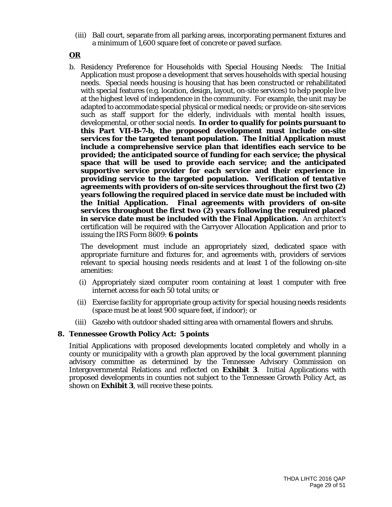- (iii) Ball court, separate from all parking areas, incorporating permanent fixtures and a minimum of 1,600 square feet of concrete or paved surface.
- *OR*
- b. Residency Preference for Households with Special Housing Needs: The Initial Application must propose a development that serves households with special housing needs. Special needs housing is housing that has been constructed or rehabilitated with special features (e.g. location, design, layout, on-site services) to help people live at the highest level of independence in the community. For example, the unit may be adapted to accommodate special physical or medical needs; or provide on-site services such as staff support for the elderly, individuals with mental health issues, developmental, or other social needs. **In order to qualify for points pursuant to this Part VII-B-7-b, the proposed development must include on-site services for the targeted tenant population. The Initial Application must include a comprehensive service plan that identifies each service to be provided; the anticipated source of funding for each service; the physical space that will be used to provide each service; and the anticipated supportive service provider for each service and their experience in providing service to the targeted population. Verification of** *tentative* **agreements with providers of on-site services throughout the first two (2) years following the required placed in service date must be included with the Initial Application.** *Final* **agreements with providers of on-site services throughout the first two (2) years following the required placed in service date must be included with the Final Application.** An architect's certification will be required with the Carryover Allocation Application and prior to issuing the IRS Form 8609: **6 points**

The development must include an appropriately sized, dedicated space with appropriate furniture and fixtures for, and agreements with, providers of services relevant to special housing needs residents and at least 1 of the following on-site amenities:

- (i) Appropriately sized computer room containing at least 1 computer with free internet access for each 50 total units; or
- (ii) Exercise facility for appropriate group activity for special housing needs residents (space must be at least 900 square feet, if indoor); or
- (iii) Gazebo with outdoor shaded sitting area with ornamental flowers and shrubs.

#### **8. Tennessee Growth Policy Act: 5 points**

Initial Applications with proposed developments located completely and wholly in a county or municipality with a growth plan approved by the local government planning advisory committee as determined by the Tennessee Advisory Commission on Intergovernmental Relations and reflected on **Exhibit 3**. Initial Applications with proposed developments in counties not subject to the Tennessee Growth Policy Act, as shown on **Exhibit 3**, will receive these points.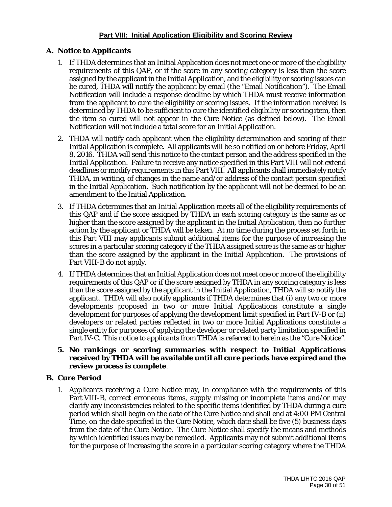# **Part VIII: Initial Application Eligibility and Scoring Review**

# **A. Notice to Applicants**

- 1. If THDA determines that an Initial Application does not meet one or more of the eligibility requirements of this QAP, or if the score in any scoring category is less than the score assigned by the applicant in the Initial Application, and the eligibility or scoring issues can be cured, THDA will notify the applicant by email (the "Email Notification"). The Email Notification will include a response deadline by which THDA must receive information from the applicant to cure the eligibility or scoring issues. If the information received is determined by THDA to be sufficient to cure the identified eligibility or scoring item, then the item so cured will not appear in the Cure Notice (as defined below). The Email Notification will not include a total score for an Initial Application.
- 2. THDA will notify each applicant when the eligibility determination and scoring of their Initial Application is complete. All applicants will be so notified on or before Friday, April 8, 2016. THDA will send this notice to the contact person and the address specified in the Initial Application. Failure to receive any notice specified in this Part VIII will not extend deadlines or modify requirements in this Part VIII. All applicants shall immediately notify THDA, in writing, of changes in the name and/or address of the contact person specified in the Initial Application. Such notification by the applicant will not be deemed to be an amendment to the Initial Application.
- 3. If THDA determines that an Initial Application meets all of the eligibility requirements of this QAP and if the score assigned by THDA in each scoring category is the same as or higher than the score assigned by the applicant in the Initial Application, then no further action by the applicant or THDA will be taken. At no time during the process set forth in this Part VIII may applicants submit additional items for the purpose of increasing the scores in a particular scoring category if the THDA assigned score is the same as or higher than the score assigned by the applicant in the Initial Application. The provisions of Part VIII-B do not apply.
- 4. If THDA determines that an Initial Application does not meet one or more of the eligibility requirements of this QAP or if the score assigned by THDA in any scoring category is less than the score assigned by the applicant in the Initial Application, THDA will so notify the applicant. THDA will also notify applicants if THDA determines that (i) any two or more developments proposed in two or more Initial Applications constitute a single development for purposes of applying the development limit specified in Part IV-B or (ii) developers or related parties reflected in two or more Initial Applications constitute a single entity for purposes of applying the developer or related party limitation specified in Part IV-C. This notice to applicants from THDA is referred to herein as the "Cure Notice".

#### **5. No rankings or scoring summaries with respect to Initial Applications received by THDA will be available until all cure periods have expired and the review process is complete**.

#### **B. Cure Period**

1. Applicants receiving a Cure Notice may, in compliance with the requirements of this Part VIII-B, correct erroneous items, supply missing or incomplete items and/or may clarify any inconsistencies related to the specific items identified by THDA during a cure period which shall begin on the date of the Cure Notice and shall end at 4:00 PM Central Time, on the date specified in the Cure Notice, which date shall be five (5) business days from the date of the Cure Notice. The Cure Notice shall specify the means and methods by which identified issues may be remedied. Applicants may not submit additional items for the purpose of increasing the score in a particular scoring category where the THDA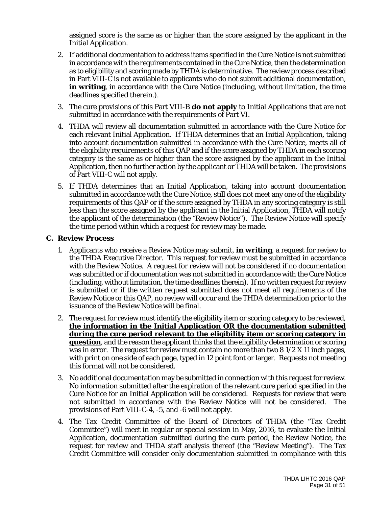assigned score is the same as or higher than the score assigned by the applicant in the Initial Application.

- 2. If additional documentation to address items specified in the Cure Notice is not submitted in accordance with the requirements contained in the Cure Notice, then the determination as to eligibility and scoring made by THDA is determinative. The review process described in Part VIII-C is not available to applicants who do not submit additional documentation, **in writing**, in accordance with the Cure Notice (including, without limitation, the time deadlines specified therein.).
- 3. The cure provisions of this Part VIII-B **do not apply** to Initial Applications that are not submitted in accordance with the requirements of Part VI.
- 4. THDA will review all documentation submitted in accordance with the Cure Notice for each relevant Initial Application. If THDA determines that an Initial Application, taking into account documentation submitted in accordance with the Cure Notice, meets all of the eligibility requirements of this QAP and if the score assigned by THDA in each scoring category is the same as or higher than the score assigned by the applicant in the Initial Application, then no further action by the applicant or THDA will be taken. The provisions of Part VIII-C will not apply.
- 5. If THDA determines that an Initial Application, taking into account documentation submitted in accordance with the Cure Notice, still does not meet any one of the eligibility requirements of this QAP or if the score assigned by THDA in any scoring category is still less than the score assigned by the applicant in the Initial Application, THDA will notify the applicant of the determination (the "Review Notice"). The Review Notice will specify the time period within which a request for review may be made.

#### **C. Review Process**

- 1. Applicants who receive a Review Notice may submit, **in writing**, a request for review to the THDA Executive Director. This request for review must be submitted in accordance with the Review Notice. A request for review will not be considered if no documentation was submitted or if documentation was not submitted in accordance with the Cure Notice (including, without limitation, the time deadlines therein). If no written request for review is submitted or if the written request submitted does not meet all requirements of the Review Notice or this QAP, no review will occur and the THDA determination prior to the issuance of the Review Notice will be final.
- 2. The request for review must identify the eligibility item or scoring category to be reviewed, **the information in the Initial Application OR the documentation submitted during the cure period relevant to the eligibility item or scoring category in question**, and the reason the applicant thinks that the eligibility determination or scoring was in error. The request for review must contain no more than two  $81/2 X 11$  inch pages, with print on one side of each page, typed in 12 point font or larger. Requests not meeting this format will not be considered.
- 3. No additional documentation may be submitted in connection with this request for review. No information submitted after the expiration of the relevant cure period specified in the Cure Notice for an Initial Application will be considered. Requests for review that were not submitted in accordance with the Review Notice will not be considered. The provisions of Part VIII-C-4, -5, and -6 will not apply.
- 4. The Tax Credit Committee of the Board of Directors of THDA (the "Tax Credit Committee") will meet in regular or special session in May, 2016, to evaluate the Initial Application, documentation submitted during the cure period, the Review Notice, the request for review and THDA staff analysis thereof (the "Review Meeting"). The Tax Credit Committee will consider only documentation submitted in compliance with this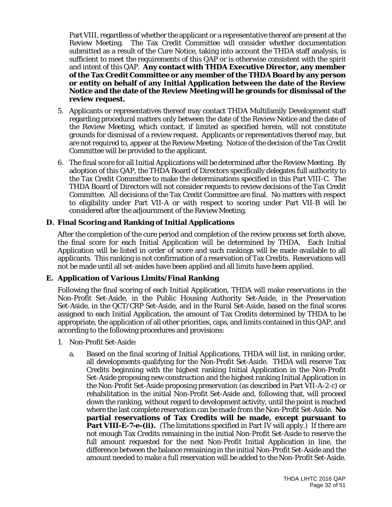Part VIII, regardless of whether the applicant or a representative thereof are present at the Review Meeting. The Tax Credit Committee will consider whether documentation submitted as a result of the Cure Notice, taking into account the THDA staff analysis, is sufficient to meet the requirements of this QAP or is otherwise consistent with the spirit and intent of this QAP. **Any contact with THDA Executive Director, any member of the Tax Credit Committee or any member of the THDA Board by any person or entity on behalf of any Initial Application between the date of the Review Notice and the date of the Review Meeting will be grounds for dismissal of the review request.** 

- 5. Applicants or representatives thereof may contact THDA Multifamily Development staff regarding procedural matters only between the date of the Review Notice and the date of the Review Meeting, which contact, if limited as specified herein, will not constitute grounds for dismissal of a review request. Applicants or representatives thereof may, but are not required to, appear at the Review Meeting. Notice of the decision of the Tax Credit Committee will be provided to the applicant.
- 6. The final score for all Initial Applications will be determined after the Review Meeting. By adoption of this QAP, the THDA Board of Directors specifically delegates full authority to the Tax Credit Committee to make the determinations specified in this Part VIII-C. The THDA Board of Directors will not consider requests to review decisions of the Tax Credit Committee. All decisions of the Tax Credit Committee are final. No matters with respect to eligibility under Part VII-A or with respect to scoring under Part VII-B will be considered after the adjournment of the Review Meeting.

#### **D. Final Scoring and Ranking of Initial Applications**

After the completion of the cure period and completion of the review process set forth above, the final score for each Initial Application will be determined by THDA. Each Initial Application will be listed in order of score and such rankings will be made available to all applicants. This ranking is not confirmation of a reservation of Tax Credits. Reservations will not be made until all set-asides have been applied and all limits have been applied.

#### **E. Application of Various Limits/Final Ranking**

Following the final scoring of each Initial Application, THDA will make reservations in the Non-Profit Set-Aside, in the Public Housing Authority Set-Aside, in the Preservation Set-Aside, in the QCT/CRP Set-Aside, and in the Rural Set-Aside, based on the final scores assigned to each Initial Application, the amount of Tax Credits determined by THDA to be appropriate, the application of all other priorities, caps, and limits contained in this QAP, and according to the following procedures and provisions:

- 1. Non-Profit Set-Aside:
	- a. Based on the final scoring of Initial Applications, THDA will list, in ranking order, all developments qualifying for the Non-Profit Set-Aside. THDA will reserve Tax Credits beginning with the highest ranking Initial Application in the Non-Profit Set-Aside proposing new construction and the highest ranking Initial Application in the Non-Profit Set-Aside proposing preservation (as described in Part VII-A-2-c) or rehabilitation in the initial Non-Profit Set-Aside and, following that, will proceed down the ranking, without regard to development activity, until the point is reached where the last complete reservation can be made from the Non-Profit Set-Aside. **No partial reservations of Tax Credits will be made, except pursuant to Part VIII-E-7-e-(ii).** (The limitations specified in Part IV will apply.) If there are not enough Tax Credits remaining in the initial Non-Profit Set-Aside to reserve the full amount requested for the next Non-Profit Initial Application in line, the difference between the balance remaining in the initial Non-Profit Set-Aside and the amount needed to make a full reservation will be added to the Non-Profit Set-Aside.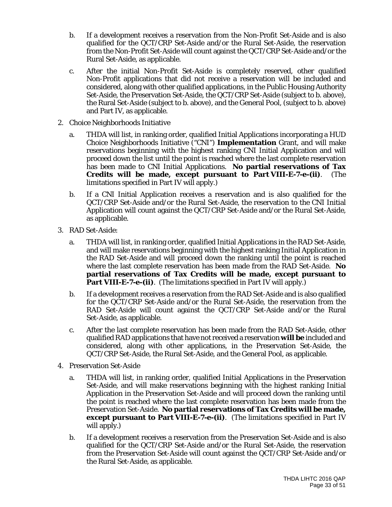- b. If a development receives a reservation from the Non-Profit Set-Aside and is also qualified for the QCT/CRP Set-Aside and/or the Rural Set-Aside, the reservation from the Non-Profit Set-Aside will count against the QCT/CRP Set-Aside and/or the Rural Set-Aside, as applicable.
- c. After the initial Non-Profit Set-Aside is completely reserved, other qualified Non-Profit applications that did not receive a reservation will be included and considered, along with other qualified applications, in the Public Housing Authority Set-Aside, the Preservation Set-Aside, the QCT/CRP Set-Aside (subject to b. above), the Rural Set-Aside (subject to b. above), and the General Pool, (subject to b. above) and Part IV, as applicable.
- 2. Choice Neighborhoods Initiative
	- a. THDA will list, in ranking order, qualified Initial Applications incorporating a HUD Choice Neighborhoods Initiative ("CNI") **Implementation** Grant, and will make reservations beginning with the highest ranking CNI Initial Application and will proceed down the list until the point is reached where the last complete reservation has been made to CNI Initial Applications. **No partial reservations of Tax Credits will be made, except pursuant to Part VIII-E-7-e-(ii)**. (The limitations specified in Part IV will apply.)
	- b. If a CNI Initial Application receives a reservation and is also qualified for the QCT/CRP Set-Aside and/or the Rural Set-Aside, the reservation to the CNI Initial Application will count against the QCT/CRP Set-Aside and/or the Rural Set-Aside, as applicable.
- 3. RAD Set-Aside:
	- a. THDA will list, in ranking order, qualified Initial Applications in the RAD Set-Aside, and will make reservations beginning with the highest ranking Initial Application in the RAD Set-Aside and will proceed down the ranking until the point is reached where the last complete reservation has been made from the RAD Set-Aside. **No partial reservations of Tax Credits will be made, except pursuant to Part VIII-E-7-e-(ii)**. (The limitations specified in Part IV will apply.)
	- b. If a development receives a reservation from the RAD Set-Aside and is also qualified for the QCT/CRP Set-Aside and/or the Rural Set-Aside, the reservation from the RAD Set-Aside will count against the QCT/CRP Set-Aside and/or the Rural Set-Aside, as applicable.
	- c. After the last complete reservation has been made from the RAD Set-Aside, other qualified RAD applications that have not received a reservation **will be** included and considered, along with other applications, in the Preservation Set-Aside, the QCT/CRP Set-Aside, the Rural Set-Aside, and the General Pool, as applicable.
- 4. Preservation Set-Aside
	- a. THDA will list, in ranking order, qualified Initial Applications in the Preservation Set-Aside, and will make reservations beginning with the highest ranking Initial Application in the Preservation Set-Aside and will proceed down the ranking until the point is reached where the last complete reservation has been made from the Preservation Set-Aside. **No partial reservations of Tax Credits will be made, except pursuant to Part VIII-E-7-e-(ii)**. (The limitations specified in Part IV will apply.)
	- b. If a development receives a reservation from the Preservation Set-Aside and is also qualified for the QCT/CRP Set-Aside and/or the Rural Set-Aside, the reservation from the Preservation Set-Aside will count against the QCT/CRP Set-Aside and/or the Rural Set-Aside, as applicable.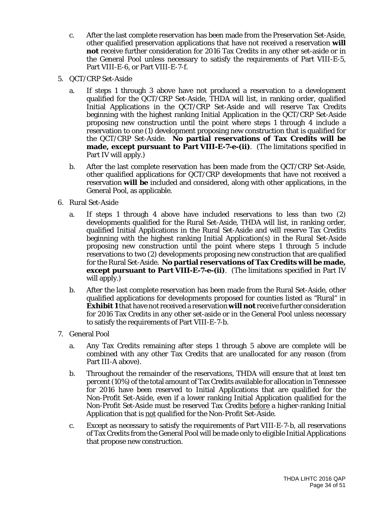- c. After the last complete reservation has been made from the Preservation Set-Aside, other qualified preservation applications that have not received a reservation **will not** receive further consideration for 2016 Tax Credits in any other set-aside or in the General Pool unless necessary to satisfy the requirements of Part VIII-E-5, Part VIII-E-6, or Part VIII-E-7-f.
- 5. QCT/CRP Set-Aside
	- a. If steps 1 through 3 above have not produced a reservation to a development qualified for the QCT/CRP Set-Aside, THDA will list, in ranking order, qualified Initial Applications in the QCT/CRP Set-Aside and will reserve Tax Credits beginning with the highest ranking Initial Application in the QCT/CRP Set-Aside proposing new construction until the point where steps 1 through 4 include a reservation to one (1) development proposing new construction that is qualified for the QCT/CRP Set-Aside. **No partial reservations of Tax Credits will be made, except pursuant to Part VIII-E-7-e-(ii)**. (The limitations specified in Part IV will apply.)
	- b. After the last complete reservation has been made from the QCT/CRP Set-Aside, other qualified applications for QCT/CRP developments that have not received a reservation **will be** included and considered, along with other applications, in the General Pool, as applicable.
- 6. Rural Set-Aside
	- a. If steps 1 through 4 above have included reservations to less than two (2) developments qualified for the Rural Set-Aside, THDA will list, in ranking order, qualified Initial Applications in the Rural Set-Aside and will reserve Tax Credits beginning with the highest ranking Initial Application(s) in the Rural Set-Aside proposing new construction until the point where steps 1 through 5 include reservations to two (2) developments proposing new construction that are qualified for the Rural Set-Aside. **No partial reservations of Tax Credits will be made, except pursuant to Part VIII-E-7-e-(ii)**. (The limitations specified in Part IV will apply.)
	- b. After the last complete reservation has been made from the Rural Set-Aside, other qualified applications for developments proposed for counties listed as "Rural" in **Exhibit 1** that have not received a reservation **will not** receive further consideration for 2016 Tax Credits in any other set-aside or in the General Pool unless necessary to satisfy the requirements of Part VIII-E-7-b.
- 7. General Pool
	- a. Any Tax Credits remaining after steps 1 through 5 above are complete will be combined with any other Tax Credits that are unallocated for any reason (from Part III-A above).
	- b. Throughout the remainder of the reservations, THDA will ensure that at least ten percent (10%) of the total amount of Tax Credits available for allocation in Tennessee for 2016 have been reserved to Initial Applications that are qualified for the Non-Profit Set-Aside, even if a lower ranking Initial Application qualified for the Non-Profit Set-Aside must be reserved Tax Credits before a higher-ranking Initial Application that is not qualified for the Non-Profit Set-Aside.
	- c. Except as necessary to satisfy the requirements of Part VIII-E-7-b, all reservations of Tax Credits from the General Pool will be made only to eligible Initial Applications that propose new construction.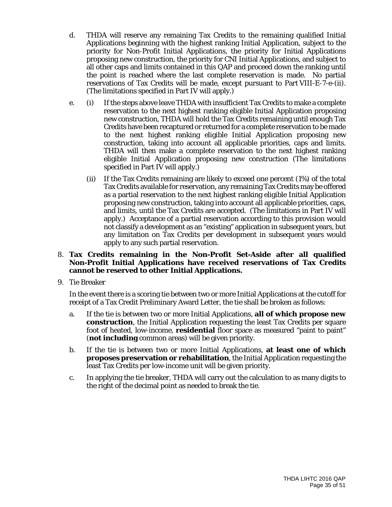- d. THDA will reserve any remaining Tax Credits to the remaining qualified Initial Applications beginning with the highest ranking Initial Application, subject to the priority for Non-Profit Initial Applications, the priority for Initial Applications proposing new construction, the priority for CNI Initial Applications, and subject to all other caps and limits contained in this QAP and proceed down the ranking until the point is reached where the last complete reservation is made. No partial reservations of Tax Credits will be made, except pursuant to Part VIII-E-7-e-(ii). (The limitations specified in Part IV will apply.)
- e. (i) If the steps above leave THDA with insufficient Tax Credits to make a complete reservation to the next highest ranking eligible Initial Application proposing new construction, THDA will hold the Tax Credits remaining until enough Tax Credits have been recaptured or returned for a complete reservation to be made to the next highest ranking eligible Initial Application proposing new construction, taking into account all applicable priorities, caps and limits. THDA will then make a complete reservation to the next highest ranking eligible Initial Application proposing new construction (The limitations specified in Part IV will apply.)
	- (ii) If the Tax Credits remaining are likely to exceed one percent (1%) of the total Tax Credits available for reservation, any remaining Tax Credits may be offered as a partial reservation to the next highest ranking eligible Initial Application proposing new construction, taking into account all applicable priorities, caps, and limits, until the Tax Credits are accepted. (The limitations in Part IV will apply.) Acceptance of a partial reservation according to this provision would not classify a development as an "existing" application in subsequent years, but any limitation on Tax Credits per development in subsequent years would apply to any such partial reservation.

#### 8. **Tax Credits remaining in the Non-Profit Set-Aside after all qualified Non-Profit Initial Applications have received reservations of Tax Credits cannot be reserved to other Initial Applications.**

9. Tie Breaker

In the event there is a scoring tie between two or more Initial Applications at the cutoff for receipt of a Tax Credit Preliminary Award Letter, the tie shall be broken as follows:

- a. If the tie is between two or more Initial Applications, **all of which propose new construction**, the Initial Application requesting the least Tax Credits per square foot of heated, low-income, **residential** floor space as measured "paint to paint" (**not including** common areas) will be given priority.
- b. If the tie is between two or more Initial Applications, **at least one of which proposes preservation or rehabilitation**, the Initial Application requesting the least Tax Credits per low-income unit will be given priority.
- c. In applying the tie breaker, THDA will carry out the calculation to as many digits to the right of the decimal point as needed to break the tie.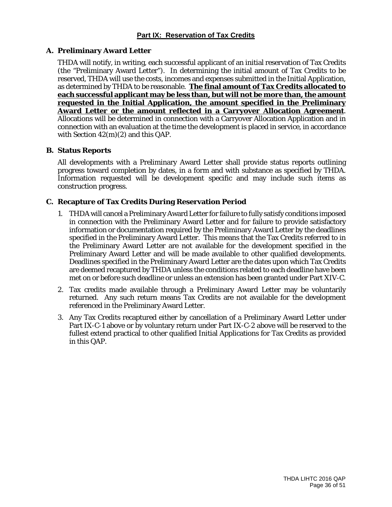### **A. Preliminary Award Letter**

THDA will notify, in writing, each successful applicant of an initial reservation of Tax Credits (the "Preliminary Award Letter"). In determining the initial amount of Tax Credits to be reserved, THDA will use the costs, incomes and expenses submitted in the Initial Application, as determined by THDA to be reasonable. **The final amount of Tax Credits allocated to each successful applicant may be less than, but will not be more than, the amount requested in the Initial Application, the amount specified in the Preliminary Award Letter or the amount reflected in a Carryover Allocation Agreement**. Allocations will be determined in connection with a Carryover Allocation Application and in connection with an evaluation at the time the development is placed in service, in accordance with Section 42(m)(2) and this QAP.

#### **B. Status Reports**

All developments with a Preliminary Award Letter shall provide status reports outlining progress toward completion by dates, in a form and with substance as specified by THDA. Information requested will be development specific and may include such items as construction progress.

# **C. Recapture of Tax Credits During Reservation Period**

- 1. THDA will cancel a Preliminary Award Letter for failure to fully satisfy conditions imposed in connection with the Preliminary Award Letter and for failure to provide satisfactory information or documentation required by the Preliminary Award Letter by the deadlines specified in the Preliminary Award Letter. This means that the Tax Credits referred to in the Preliminary Award Letter are not available for the development specified in the Preliminary Award Letter and will be made available to other qualified developments. Deadlines specified in the Preliminary Award Letter are the dates upon which Tax Credits are deemed recaptured by THDA unless the conditions related to each deadline have been met on or before such deadline or unless an extension has been granted under Part XIV-C.
- 2. Tax credits made available through a Preliminary Award Letter may be voluntarily returned. Any such return means Tax Credits are not available for the development referenced in the Preliminary Award Letter.
- 3. Any Tax Credits recaptured either by cancellation of a Preliminary Award Letter under Part IX-C-1 above or by voluntary return under Part IX-C-2 above will be reserved to the fullest extend practical to other qualified Initial Applications for Tax Credits as provided in this QAP.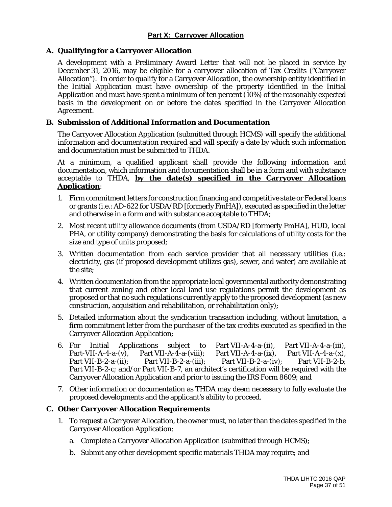# **Part X: Carryover Allocation**

#### **A. Qualifying for a Carryover Allocation**

A development with a Preliminary Award Letter that will not be placed in service by December 31, 2016, may be eligible for a carryover allocation of Tax Credits ("Carryover Allocation"). In order to qualify for a Carryover Allocation, the ownership entity identified in the Initial Application must have ownership of the property identified in the Initial Application and must have spent a minimum of ten percent (10%) of the reasonably expected basis in the development on or before the dates specified in the Carryover Allocation Agreement.

#### **B. Submission of Additional Information and Documentation**

The Carryover Allocation Application (submitted through HCMS) will specify the additional information and documentation required and will specify a date by which such information and documentation must be submitted to THDA.

At a minimum, a qualified applicant shall provide the following information and documentation, which information and documentation shall be in a form and with substance acceptable to THDA, **by the date(s) specified in the Carryover Allocation Application**:

- 1. Firm commitment letters for construction financing and competitive state or Federal loans or grants (i.e.: AD-622 for USDA/RD [formerly FmHA]), executed as specified in the letter and otherwise in a form and with substance acceptable to THDA;
- 2. Most recent utility allowance documents (from USDA/RD [formerly FmHA], HUD, local PHA, or utility company) demonstrating the basis for calculations of utility costs for the size and type of units proposed;
- 3. Written documentation from each service provider that all necessary utilities (i.e.: electricity, gas (if proposed development utilizes gas), sewer, and water) are available at the site;
- 4. Written documentation from the appropriate local governmental authority demonstrating that current zoning and other local land use regulations permit the development as proposed or that no such regulations currently apply to the proposed development (as new construction, acquisition and rehabilitation, or rehabilitation only);
- 5. Detailed information about the syndication transaction including, without limitation, a firm commitment letter from the purchaser of the tax credits executed as specified in the Carryover Allocation Application;
- 6. For Initial Applications subject to Part VII-A-4-a-(ii), Part VII-A-4-a-(iii), Part-VII-A-4-a- $(v)$ , Part VII-A-4-a- $(viiii)$ ; Part VII-A-4-a- $(ix)$ , Part VII-A-4-a- $(x)$ , Part VII-B-2-a-(ii); Part VII-B-2-a-(iii); Part VII-B-2-a-(iv); Part VII-B-2-b; Part VII-B-2-c; and/or Part VII-B-7, an architect's certification will be required with the Carryover Allocation Application and prior to issuing the IRS Form 8609; and
- 7. Other information or documentation as THDA may deem necessary to fully evaluate the proposed developments and the applicant's ability to proceed.

#### **C. Other Carryover Allocation Requirements**

- 1. To request a Carryover Allocation, the owner must, no later than the dates specified in the Carryover Allocation Application:
	- a. Complete a Carryover Allocation Application (submitted through HCMS);
	- b. Submit any other development specific materials THDA may require; and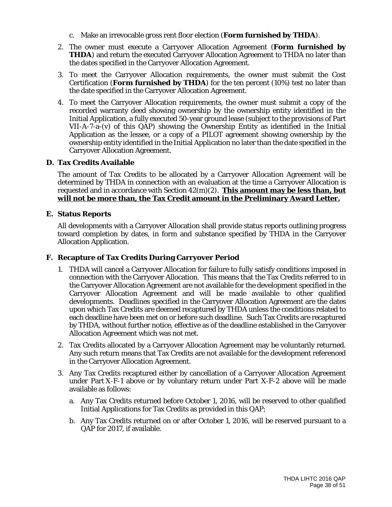- c. Make an irrevocable gross rent floor election (**Form furnished by THDA**).
- 2. The owner must execute a Carryover Allocation Agreement (**Form furnished by THDA**) and return the executed Carryover Allocation Agreement to THDA no later than the dates specified in the Carryover Allocation Agreement.
- 3. To meet the Carryover Allocation requirements, the owner must submit the Cost Certification (**Form furnished by THDA**) for the ten percent (10%) test no later than the date specified in the Carryover Allocation Agreement.
- 4. To meet the Carryover Allocation requirements, the owner must submit a copy of the recorded warranty deed showing ownership by the ownership entity identified in the Initial Application, a fully executed 50-year ground lease (subject to the provisions of Part VII-A-7-a-(v) of this QAP) showing the Ownership Entity as identified in the Initial Application as the lessee, or a copy of a PILOT agreement showing ownership by the ownership entity identified in the Initial Application no later than the date specified in the Carryover Allocation Agreement.

#### **D. Tax Credits Available**

The amount of Tax Credits to be allocated by a Carryover Allocation Agreement will be determined by THDA in connection with an evaluation at the time a Carryover Allocation is requested and in accordance with Section 42(m)(2). **This amount may be less than, but will not be more than, the Tax Credit amount in the Preliminary Award Letter.**

#### **E. Status Reports**

All developments with a Carryover Allocation shall provide status reports outlining progress toward completion by dates, in form and substance specified by THDA in the Carryover Allocation Application.

#### **F. Recapture of Tax Credits During Carryover Period**

- 1. THDA will cancel a Carryover Allocation for failure to fully satisfy conditions imposed in connection with the Carryover Allocation. This means that the Tax Credits referred to in the Carryover Allocation Agreement are not available for the development specified in the Carryover Allocation Agreement and will be made available to other qualified developments. Deadlines specified in the Carryover Allocation Agreement are the dates upon which Tax Credits are deemed recaptured by THDA unless the conditions related to each deadline have been met on or before such deadline. Such Tax Credits are recaptured by THDA, without further notice, effective as of the deadline established in the Carryover Allocation Agreement which was not met.
- 2. Tax Credits allocated by a Carryover Allocation Agreement may be voluntarily returned. Any such return means that Tax Credits are not available for the development referenced in the Carryover Allocation Agreement.
- 3. Any Tax Credits recaptured either by cancellation of a Carryover Allocation Agreement under Part X-F-1 above or by voluntary return under Part X-F-2 above will be made available as follows:
	- a. Any Tax Credits returned before October 1, 2016, will be reserved to other qualified Initial Applications for Tax Credits as provided in this QAP;
	- b. Any Tax Credits returned on or after October 1, 2016, will be reserved pursuant to a QAP for 2017, if available.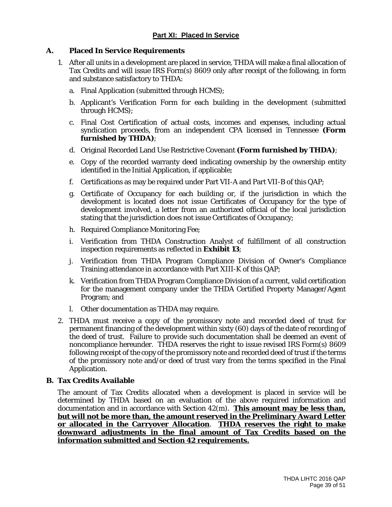### **A. Placed In Service Requirements**

- 1. After all units in a development are placed in service, THDA will make a final allocation of Tax Credits and will issue IRS Form(s) 8609 only after receipt of the following, in form and substance satisfactory to THDA:
	- a. Final Application (submitted through HCMS);
	- b. Applicant's Verification Form for each building in the development (submitted through HCMS);
	- c. Final Cost Certification of actual costs, incomes and expenses, including actual syndication proceeds, from an independent CPA licensed in Tennessee **(Form furnished by THDA)**;
	- d. Original Recorded Land Use Restrictive Covenant **(Form furnished by THDA)**;
	- e. Copy of the recorded warranty deed indicating ownership by the ownership entity identified in the Initial Application, if applicable;
	- f. Certifications as may be required under Part VII-A and Part VII-B of this QAP;
	- g. Certificate of Occupancy for each building or, if the jurisdiction in which the development is located does not issue Certificates of Occupancy for the type of development involved, a letter from an authorized official of the local jurisdiction stating that the jurisdiction does not issue Certificates of Occupancy;
	- h. Required Compliance Monitoring Fee;
	- i. Verification from THDA Construction Analyst of fulfillment of all construction inspection requirements as reflected in **Exhibit 13**;
	- j. Verification from THDA Program Compliance Division of Owner's Compliance Training attendance in accordance with Part XIII-K of this QAP;
	- k. Verification from THDA Program Compliance Division of a current, valid certification for the management company under the THDA Certified Property Manager/Agent Program; and
	- l. Other documentation as THDA may require.
- 2. THDA must receive a copy of the promissory note and recorded deed of trust for permanent financing of the development within sixty (60) days of the date of recording of the deed of trust. Failure to provide such documentation shall be deemed an event of noncompliance hereunder. THDA reserves the right to issue revised IRS Form(s) 8609 following receipt of the copy of the promissory note and recorded deed of trust if the terms of the promissory note and/or deed of trust vary from the terms specified in the Final Application.

#### **B. Tax Credits Available**

The amount of Tax Credits allocated when a development is placed in service will be determined by THDA based on an evaluation of the above required information and documentation and in accordance with Section 42(m). **This amount may be less than, but will not be more than, the amount reserved in the Preliminary Award Letter or allocated in the Carryover Allocation**. **THDA reserves the right to make downward adjustments in the final amount of Tax Credits based on the information submitted and Section 42 requirements.**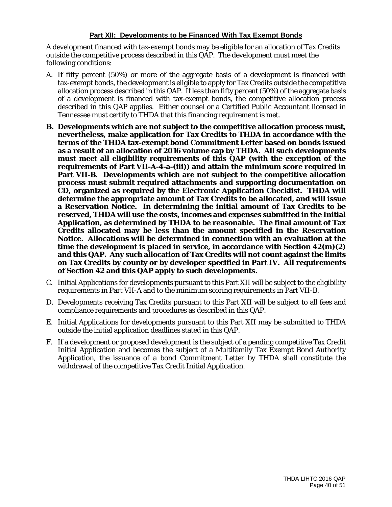### **Part XII: Developments to be Financed With Tax Exempt Bonds**

A development financed with tax-exempt bonds may be eligible for an allocation of Tax Credits outside the competitive process described in this QAP. The development must meet the following conditions:

- A. If fifty percent (50%) or more of the aggregate basis of a development is financed with tax-exempt bonds, the development is eligible to apply for Tax Credits outside the competitive allocation process described in this QAP. If less than fifty percent (50%) of the aggregate basis of a development is financed with tax-exempt bonds, the competitive allocation process described in this QAP applies. Either counsel or a Certified Public Accountant licensed in Tennessee must certify to THDA that this financing requirement is met.
- **B. Developments which are not subject to the competitive allocation process must, nevertheless, make application for Tax Credits to THDA in accordance with the terms of the THDA tax-exempt bond Commitment Letter based on bonds issued as a result of an allocation of 2016 volume cap by THDA. All such developments must meet all eligibility requirements of this QAP (with the exception of the requirements of Part VII-A-4-a-(iii)) and attain the minimum score required in Part VII-B. Developments which are not subject to the competitive allocation process must submit required attachments and supporting documentation on CD, organized as required by the Electronic Application Checklist. THDA will determine the appropriate amount of Tax Credits to be allocated, and will issue a Reservation Notice. In determining the initial amount of Tax Credits to be reserved, THDA will use the costs, incomes and expenses submitted in the Initial Application, as determined by THDA to be reasonable. The final amount of Tax Credits allocated may be less than the amount specified in the Reservation Notice. Allocations will be determined in connection with an evaluation at the time the development is placed in service, in accordance with Section 42(m)(2) and this QAP. Any such allocation of Tax Credits will not count against the limits on Tax Credits by county or by developer specified in Part IV. All requirements of Section 42 and this QAP apply to such developments.**
- C. Initial Applications for developments pursuant to this Part XII will be subject to the eligibility requirements in Part VII-A and to the minimum scoring requirements in Part VII-B.
- D. Developments receiving Tax Credits pursuant to this Part XII will be subject to all fees and compliance requirements and procedures as described in this QAP.
- E. Initial Applications for developments pursuant to this Part XII may be submitted to THDA outside the initial application deadlines stated in this QAP.
- F. If a development or proposed development is the subject of a pending competitive Tax Credit Initial Application and becomes the subject of a Multifamily Tax Exempt Bond Authority Application, the issuance of a bond Commitment Letter by THDA shall constitute the withdrawal of the competitive Tax Credit Initial Application.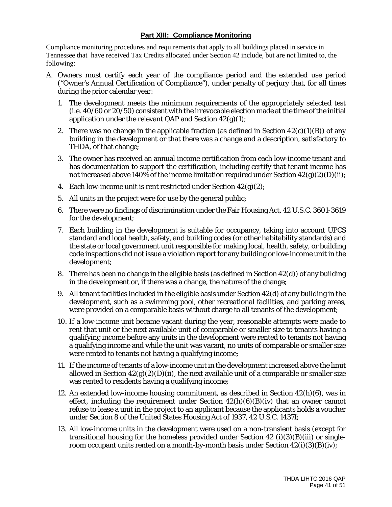# **Part XIII: Compliance Monitoring**

Compliance monitoring procedures and requirements that apply to all buildings placed in service in Tennessee that have received Tax Credits allocated under Section 42 include, but are not limited to, the following:

- A. Owners must certify each year of the compliance period and the extended use period ("Owner's Annual Certification of Compliance"), under penalty of perjury that, for all times during the prior calendar year:
	- 1. The development meets the minimum requirements of the appropriately selected test (i.e. 40/60 or 20/50) consistent with the irrevocable election made at the time of the initial application under the relevant QAP and Section  $42(g)(1)$ ;
	- 2. There was no change in the applicable fraction (as defined in Section  $42(c)(1)(B)$ ) of any building in the development or that there was a change and a description, satisfactory to THDA, of that change;
	- 3. The owner has received an annual income certification from each low-income tenant and has documentation to support the certification, including certify that tenant income has not increased above 140% of the income limitation required under Section  $42(g)(2)(D)(ii)$ ;
	- 4. Each low-income unit is rent restricted under Section  $42(g)(2)$ ;
	- 5. All units in the project were for use by the general public;
	- 6. There were no findings of discrimination under the Fair Housing Act, 42 U.S.C. 3601-3619 for the development;
	- 7. Each building in the development is suitable for occupancy, taking into account UPCS standard and local health, safety, and building codes (or other habitability standards) and the state or local government unit responsible for making local, health, safety, or building code inspections did not issue a violation report for any building or low-income unit in the development;
	- 8. There has been no change in the eligible basis (as defined in Section 42(d)) of any building in the development or, if there was a change, the nature of the change;
	- 9. All tenant facilities included in the eligible basis under Section 42(d) of any building in the development, such as a swimming pool, other recreational facilities, and parking areas, were provided on a comparable basis without charge to all tenants of the development;
	- 10. If a low-income unit became vacant during the year, reasonable attempts were made to rent that unit or the next available unit of comparable or smaller size to tenants having a qualifying income before any units in the development were rented to tenants not having a qualifying income and while the unit was vacant, no units of comparable or smaller size were rented to tenants not having a qualifying income;
	- 11. If the income of tenants of a low-income unit in the development increased above the limit allowed in Section  $42(g)(2)(D)(ii)$ , the next available unit of a comparable or smaller size was rented to residents having a qualifying income;
	- 12. An extended low-income housing commitment, as described in Section 42(h)(6), was in effect, including the requirement under Section  $42(h)(6)(B)(iv)$  that an owner cannot refuse to lease a unit in the project to an applicant because the applicants holds a voucher under Section 8 of the United States Housing Act of 1937, 42 U.S.C. 1437f;
	- 13. All low-income units in the development were used on a non-transient basis (except for transitional housing for the homeless provided under Section  $42$  (i)(3)(B)(iii) or singleroom occupant units rented on a month-by-month basis under Section  $42(i)(3)(B)(iv)$ ;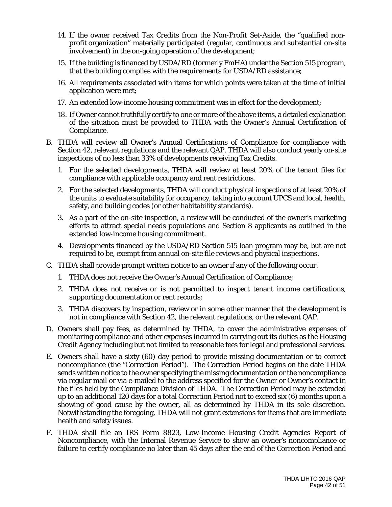- 14. If the owner received Tax Credits from the Non-Profit Set-Aside, the "qualified nonprofit organization" materially participated (regular, continuous and substantial on-site involvement) in the on-going operation of the development;
- 15. If the building is financed by USDA/RD (formerly FmHA) under the Section 515 program, that the building complies with the requirements for USDA/RD assistance;
- 16. All requirements associated with items for which points were taken at the time of initial application were met;
- 17. An extended low-income housing commitment was in effect for the development;
- 18. If Owner cannot truthfully certify to one or more of the above items, a detailed explanation of the situation must be provided to THDA with the Owner's Annual Certification of Compliance.
- B. THDA will review all Owner's Annual Certifications of Compliance for compliance with Section 42, relevant regulations and the relevant QAP. THDA will also conduct yearly on-site inspections of no less than 33% of developments receiving Tax Credits.
	- 1. For the selected developments, THDA will review at least 20% of the tenant files for compliance with applicable occupancy and rent restrictions.
	- 2. For the selected developments, THDA will conduct physical inspections of at least 20% of the units to evaluate suitability for occupancy, taking into account UPCS and local, health, safety, and building codes (or other habitability standards).
	- 3. As a part of the on-site inspection, a review will be conducted of the owner's marketing efforts to attract special needs populations and Section 8 applicants as outlined in the extended low-income housing commitment.
	- 4. Developments financed by the USDA/RD Section 515 loan program may be, but are not required to be, exempt from annual on-site file reviews and physical inspections.
- C. THDA shall provide prompt written notice to an owner if any of the following occur:
	- 1. THDA does not receive the Owner's Annual Certification of Compliance;
	- 2. THDA does not receive or is not permitted to inspect tenant income certifications, supporting documentation or rent records;
	- 3. THDA discovers by inspection, review or in some other manner that the development is not in compliance with Section 42, the relevant regulations, or the relevant QAP.
- D. Owners shall pay fees, as determined by THDA, to cover the administrative expenses of monitoring compliance and other expenses incurred in carrying out its duties as the Housing Credit Agency including but not limited to reasonable fees for legal and professional services.
- E. Owners shall have a sixty (60) day period to provide missing documentation or to correct noncompliance (the "Correction Period"). The Correction Period begins on the date THDA sends written notice to the owner specifying the missing documentation or the noncompliance via regular mail or via e-mailed to the address specified for the Owner or Owner's contact in the files held by the Compliance Division of THDA. The Correction Period may be extended up to an additional 120 days for a total Correction Period not to exceed six (6) months upon a showing of good cause by the owner, all as determined by THDA in its sole discretion. Notwithstanding the foregoing, THDA will not grant extensions for items that are immediate health and safety issues.
- F. THDA shall file an IRS Form 8823, Low-Income Housing Credit Agencies Report of Noncompliance, with the Internal Revenue Service to show an owner's noncompliance or failure to certify compliance no later than 45 days after the end of the Correction Period and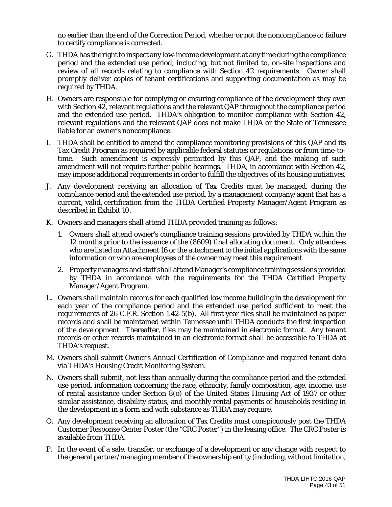no earlier than the end of the Correction Period, whether or not the noncompliance or failure to certify compliance is corrected.

- G. THDA has the right to inspect any low-income development at any time during the compliance period and the extended use period, including, but not limited to, on-site inspections and review of all records relating to compliance with Section 42 requirements. Owner shall promptly deliver copies of tenant certifications and supporting documentation as may be required by THDA.
- H. Owners are responsible for complying or ensuring compliance of the development they own with Section 42, relevant regulations and the relevant QAP throughout the compliance period and the extended use period. THDA's obligation to monitor compliance with Section 42, relevant regulations and the relevant QAP does not make THDA or the State of Tennessee liable for an owner's noncompliance.
- I. THDA shall be entitled to amend the compliance monitoring provisions of this QAP and its Tax Credit Program as required by applicable federal statutes or regulations or from time-totime. Such amendment is expressly permitted by this QAP, and the making of such amendment will not require further public hearings. THDA, in accordance with Section 42, may impose additional requirements in order to fulfill the objectives of its housing initiatives.
- J. Any development receiving an allocation of Tax Credits must be managed, during the compliance period and the extended use period, by a management company/agent that has a current, valid, certification from the THDA Certified Property Manager/Agent Program as described in Exhibit 10.
- K. Owners and managers shall attend THDA provided training as follows:
	- 1. Owners shall attend owner's compliance training sessions provided by THDA within the 12 months prior to the issuance of the (8609) final allocating document. Only attendees who are listed on Attachment 16 or the attachment to the initial applications with the same information or who are employees of the owner may meet this requirement
	- 2. Property managers and staff shall attend Manager's compliance training sessions provided by THDA in accordance with the requirements for the THDA Certified Property Manager/Agent Program.
- L. Owners shall maintain records for each qualified low income building in the development for each year of the compliance period and the extended use period sufficient to meet the requirements of 26 C.F.R. Section 1.42-5(b). All first year files shall be maintained as paper records and shall be maintained within Tennessee until THDA conducts the first inspection of the development. Thereafter, files may be maintained in electronic format. Any tenant records or other records maintained in an electronic format shall be accessible to THDA at THDA's request.
- M. Owners shall submit Owner's Annual Certification of Compliance and required tenant data via THDA's Housing Credit Monitoring System.
- N. Owners shall submit, not less than annually during the compliance period and the extended use period, information concerning the race, ethnicity, family composition, age, income, use of rental assistance under Section 8(o) of the United States Housing Act of 1937 or other similar assistance, disability status, and monthly rental payments of households residing in the development in a form and with substance as THDA may require.
- O. Any development receiving an allocation of Tax Credits must conspicuously post the THDA Customer Response Center Poster (the "CRC Poster") in the leasing office. The CRC Poster is available from THDA.
- P. In the event of a sale, transfer, or exchange of a development or any change with respect to the general partner/managing member of the ownership entity (including, without limitation,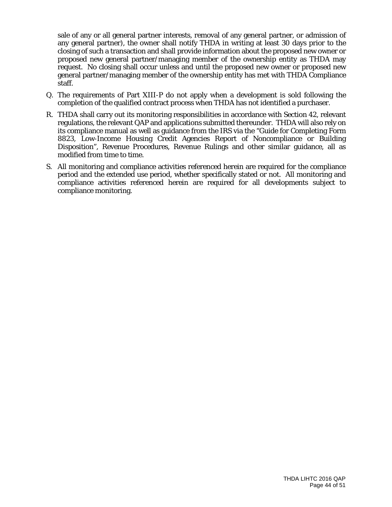sale of any or all general partner interests, removal of any general partner, or admission of any general partner), the owner shall notify THDA in writing at least 30 days prior to the closing of such a transaction and shall provide information about the proposed new owner or proposed new general partner/managing member of the ownership entity as THDA may request. No closing shall occur unless and until the proposed new owner or proposed new general partner/managing member of the ownership entity has met with THDA Compliance staff.

- Q. The requirements of Part XIII-P do not apply when a development is sold following the completion of the qualified contract process when THDA has not identified a purchaser.
- R. THDA shall carry out its monitoring responsibilities in accordance with Section 42, relevant regulations, the relevant QAP and applications submitted thereunder. THDA will also rely on its compliance manual as well as guidance from the IRS via the "Guide for Completing Form 8823, Low-Income Housing Credit Agencies Report of Noncompliance or Building Disposition", Revenue Procedures, Revenue Rulings and other similar guidance, all as modified from time to time.
- S. All monitoring and compliance activities referenced herein are required for the compliance period and the extended use period, whether specifically stated or not. All monitoring and compliance activities referenced herein are required for all developments subject to compliance monitoring.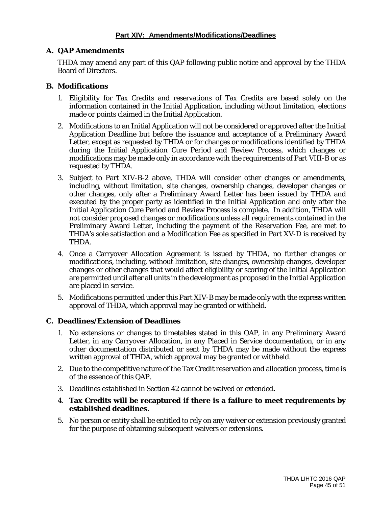# **A. QAP Amendments**

THDA may amend any part of this QAP following public notice and approval by the THDA Board of Directors.

#### **B. Modifications**

- 1. Eligibility for Tax Credits and reservations of Tax Credits are based solely on the information contained in the Initial Application, including without limitation, elections made or points claimed in the Initial Application.
- 2. Modifications to an Initial Application will not be considered or approved after the Initial Application Deadline but before the issuance and acceptance of a Preliminary Award Letter, except as requested by THDA or for changes or modifications identified by THDA during the Initial Application Cure Period and Review Process, which changes or modifications may be made only in accordance with the requirements of Part VIII-B or as requested by THDA.
- 3. Subject to Part XIV-B-2 above, THDA will consider other changes or amendments, including, without limitation, site changes, ownership changes, developer changes or other changes, only after a Preliminary Award Letter has been issued by THDA and executed by the proper party as identified in the Initial Application and only after the Initial Application Cure Period and Review Process is complete. In addition, THDA will not consider proposed changes or modifications unless all requirements contained in the Preliminary Award Letter, including the payment of the Reservation Fee, are met to THDA's sole satisfaction and a Modification Fee as specified in Part XV-D is received by THDA.
- 4. Once a Carryover Allocation Agreement is issued by THDA, no further changes or modifications, including, without limitation, site changes, ownership changes, developer changes or other changes that would affect eligibility or scoring of the Initial Application are permitted until after all units in the development as proposed in the Initial Application are placed in service.
- 5. Modifications permitted under this Part XIV-B may be made only with the express written approval of THDA, which approval may be granted or withheld.

#### **C. Deadlines/Extension of Deadlines**

- 1. No extensions or changes to timetables stated in this QAP, in any Preliminary Award Letter, in any Carryover Allocation, in any Placed in Service documentation, or in any other documentation distributed or sent by THDA may be made without the express written approval of THDA, which approval may be granted or withheld.
- 2. Due to the competitive nature of the Tax Credit reservation and allocation process, time is of the essence of this QAP.
- 3. Deadlines established in Section 42 cannot be waived or extended**.**
- 4. **Tax Credits will be recaptured if there is a failure to meet requirements by established deadlines.**
- 5. No person or entity shall be entitled to rely on any waiver or extension previously granted for the purpose of obtaining subsequent waivers or extensions.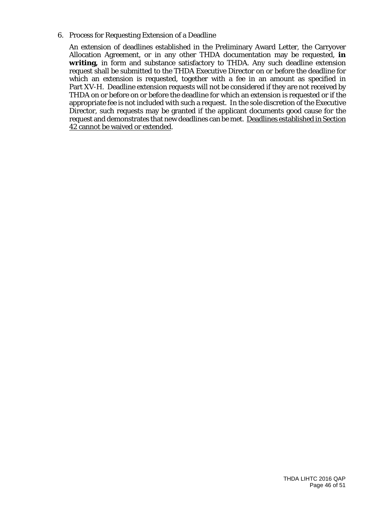#### 6. Process for Requesting Extension of a Deadline

An extension of deadlines established in the Preliminary Award Letter, the Carryover Allocation Agreement, or in any other THDA documentation may be requested, **in writing,** in form and substance satisfactory to THDA. Any such deadline extension request shall be submitted to the THDA Executive Director on or before the deadline for which an extension is requested, together with a fee in an amount as specified in Part XV-H. Deadline extension requests will not be considered if they are not received by THDA on or before on or before the deadline for which an extension is requested or if the appropriate fee is not included with such a request. In the sole discretion of the Executive Director, such requests may be granted if the applicant documents good cause for the request and demonstrates that new deadlines can be met. Deadlines established in Section 42 cannot be waived or extended.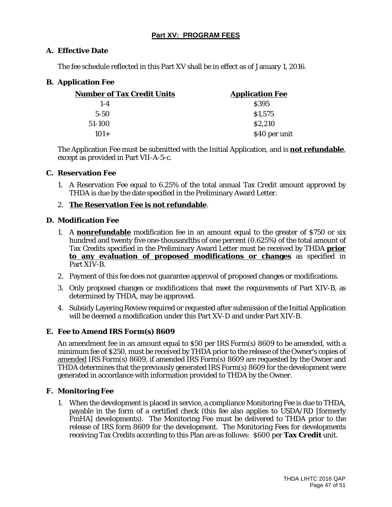# **Part XV: PROGRAM FEES**

# **A. Effective Date**

The fee schedule reflected in this Part XV shall be in effect as of January 1, 2016.

# **B. Application Fee**

| <b>Number of Tax Credit Units</b> | <b>Application Fee</b> |  |
|-----------------------------------|------------------------|--|
| $1 - 4$                           | <b>S395</b>            |  |
| $5 - 50$                          | \$1,575                |  |
| 51-100                            | \$2,210                |  |
| $101+$                            | \$40 per unit          |  |

The Application Fee must be submitted with the Initial Application, and is **not refundable**, except as provided in Part VII-A-5-c.

#### **C. Reservation Fee**

1. A Reservation Fee equal to 6.25% of the total annual Tax Credit amount approved by THDA is due by the date specified in the Preliminary Award Letter.

# 2. **The Reservation Fee is not refundable**.

#### **D. Modification Fee**

- 1. A **nonrefundable** modification fee in an amount equal to the greater of \$750 or six hundred and twenty five one-thousandths of one percent (0.625%) of the total amount of Tax Credits specified in the Preliminary Award Letter must be received by THDA **prior to any evaluation of proposed modifications or changes** as specified in Part XIV-B.
- 2. Payment of this fee does not guarantee approval of proposed changes or modifications.
- 3. Only proposed changes or modifications that meet the requirements of Part XIV-B, as determined by THDA, may be approved.
- 4. Subsidy Layering Review required or requested after submission of the Initial Application will be deemed a modification under this Part XV-D and under Part XIV-B.

#### **E. Fee to Amend IRS Form(s) 8609**

An amendment fee in an amount equal to \$50 per IRS Form(s) 8609 to be amended, with a minimum fee of \$250, must be received by THDA prior to the release of the Owner's copies of amended IRS Form(s) 8609, if amended IRS Form(s) 8609 are requested by the Owner and THDA determines that the previously generated IRS Form(s) 8609 for the development were generated in accordance with information provided to THDA by the Owner.

#### **F. Monitoring Fee**

1. When the development is placed in service, a compliance Monitoring Fee is due to THDA, payable in the form of a certified check (this fee also applies to USDA/RD [formerly FmHA] developments). The Monitoring Fee must be delivered to THDA prior to the release of IRS form 8609 for the development. The Monitoring Fees for developments receiving Tax Credits according to this Plan are as follows: \$600 per **Tax Credit** unit.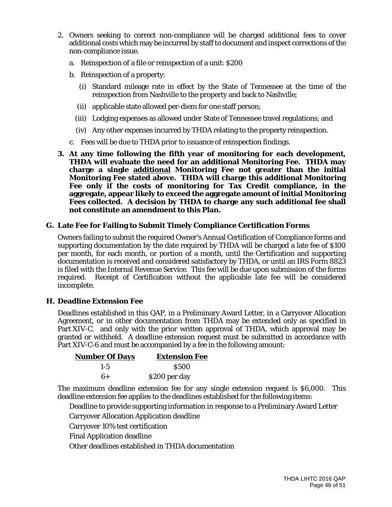- 2. Owners seeking to correct non-compliance will be charged additional fees to cover additional costs which may be incurred by staff to document and inspect corrections of the non-compliance issue.
	- a. Reinspection of a file or reinspection of a unit: \$200
	- b. Reinspection of a property:
		- (i) Standard mileage rate in effect by the State of Tennessee at the time of the reinspection from Nashville to the property and back to Nashville;
		- (ii) applicable state allowed per-diem for one staff person;
		- (iii) Lodging expenses as allowed under State of Tennessee travel regulations; and
		- (iv) Any other expenses incurred by THDA relating to the property reinspection.
	- c. Fees will be due to THDA prior to issuance of reinspection findings.
- **3. At any time following the fifth year of monitoring for each development, THDA will evaluate the need for an additional Monitoring Fee. THDA may charge a single additional Monitoring Fee not greater than the initial Monitoring Fee stated above. THDA will charge this additional Monitoring Fee only if the costs of monitoring for Tax Credit compliance, in the aggregate, appear likely to exceed the aggregate amount of initial Monitoring Fees collected. A decision by THDA to charge any such additional fee shall not constitute an amendment to this Plan.**

#### **G. Late Fee for Failing to Submit Timely Compliance Certification Forms**

Owners failing to submit the required Owner's Annual Certification of Compliance forms and supporting documentation by the date required by THDA will be charged a late fee of \$100 per month, for each month, or portion of a month, until the Certification and supporting documentation is received and considered satisfactory by THDA, or until an IRS Form 8823 is filed with the Internal Revenue Service. This fee will be due upon submission of the forms required. Receipt of Certification without the applicable late fee will be considered incomplete.

#### **H. Deadline Extension Fee**

Deadlines established in this QAP, in a Preliminary Award Letter, in a Carryover Allocation Agreement, or in other documentation from THDA may be extended only as specified in Part XIV-C. and only with the prior written approval of THDA, which approval may be granted or withheld. A deadline extension request must be submitted in accordance with Part XIV-C-6 and must be accompanied by a fee in the following amount:

| <b>Number Of Days</b> | <b>Extension Fee</b> |
|-----------------------|----------------------|
| $1 - 5$               | <b>S500</b>          |
| $6+$                  | \$200 per day        |

The maximum deadline extension fee for any single extension request is \$6,000. This deadline extension fee applies to the deadlines established for the following items:

Deadline to provide supporting information in response to a Preliminary Award Letter

Carryover Allocation Application deadline

Carryover 10% test certification

Final Application deadline

Other deadlines established in THDA documentation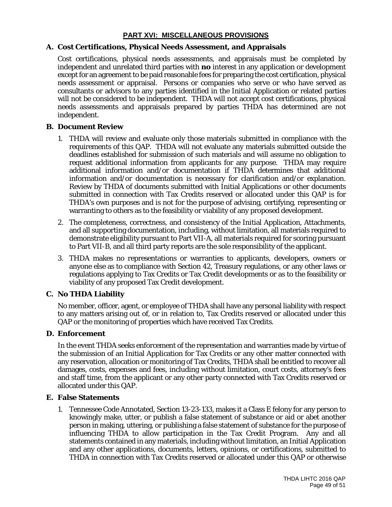# **PART XVI: MISCELLANEOUS PROVISIONS**

# **A. Cost Certifications, Physical Needs Assessment, and Appraisals**

Cost certifications, physical needs assessments, and appraisals must be completed by independent and unrelated third parties with **no** interest in any application or development except for an agreement to be paid reasonable fees for preparing the cost certification, physical needs assessment or appraisal. Persons or companies who serve or who have served as consultants or advisors to any parties identified in the Initial Application or related parties will not be considered to be independent. THDA will not accept cost certifications, physical needs assessments and appraisals prepared by parties THDA has determined are not independent.

#### **B. Document Review**

- 1. THDA will review and evaluate only those materials submitted in compliance with the requirements of this QAP. THDA will not evaluate any materials submitted outside the deadlines established for submission of such materials and will assume no obligation to request additional information from applicants for any purpose. THDA may require additional information and/or documentation if THDA determines that additional information and/or documentation is necessary for clarification and/or explanation. Review by THDA of documents submitted with Initial Applications or other documents submitted in connection with Tax Credits reserved or allocated under this QAP is for THDA's own purposes and is not for the purpose of advising, certifying, representing or warranting to others as to the feasibility or viability of any proposed development.
- 2. The completeness, correctness, and consistency of the Initial Application, Attachments, and all supporting documentation, including, without limitation, all materials required to demonstrate eligibility pursuant to Part VII-A, all materials required for scoring pursuant to Part VII-B, and all third party reports are the sole responsibility of the applicant.
- 3. THDA makes no representations or warranties to applicants, developers, owners or anyone else as to compliance with Section 42, Treasury regulations, or any other laws or regulations applying to Tax Credits or Tax Credit developments or as to the feasibility or viability of any proposed Tax Credit development.

# **C. No THDA Liability**

No member, officer, agent, or employee of THDA shall have any personal liability with respect to any matters arising out of, or in relation to, Tax Credits reserved or allocated under this QAP or the monitoring of properties which have received Tax Credits.

#### **D. Enforcement**

In the event THDA seeks enforcement of the representation and warranties made by virtue of the submission of an Initial Application for Tax Credits or any other matter connected with any reservation, allocation or monitoring of Tax Credits, THDA shall be entitled to recover all damages, costs, expenses and fees, including without limitation, court costs, attorney's fees and staff time, from the applicant or any other party connected with Tax Credits reserved or allocated under this QAP.

#### **E. False Statements**

1. Tennessee Code Annotated, Section 13-23-133, makes it a Class E felony for any person to knowingly make, utter, or publish a false statement of substance or aid or abet another person in making, uttering, or publishing a false statement of substance for the purpose of influencing THDA to allow participation in the Tax Credit Program. Any and all statements contained in any materials, including without limitation, an Initial Application and any other applications, documents, letters, opinions, or certifications, submitted to THDA in connection with Tax Credits reserved or allocated under this QAP or otherwise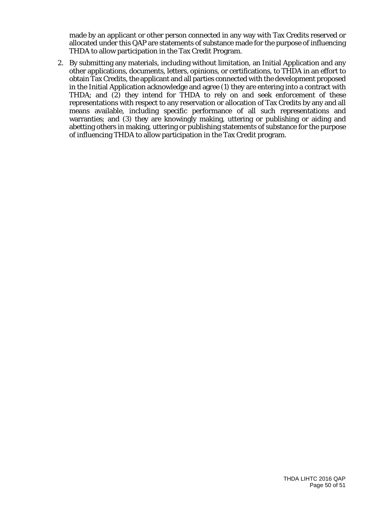made by an applicant or other person connected in any way with Tax Credits reserved or allocated under this QAP are statements of substance made for the purpose of influencing THDA to allow participation in the Tax Credit Program.

2. By submitting any materials, including without limitation, an Initial Application and any other applications, documents, letters, opinions, or certifications, to THDA in an effort to obtain Tax Credits, the applicant and all parties connected with the development proposed in the Initial Application acknowledge and agree (1) they are entering into a contract with THDA; and (2) they intend for THDA to rely on and seek enforcement of these representations with respect to any reservation or allocation of Tax Credits by any and all means available, including specific performance of all such representations and warranties; and (3) they are knowingly making, uttering or publishing or aiding and abetting others in making, uttering or publishing statements of substance for the purpose of influencing THDA to allow participation in the Tax Credit program.